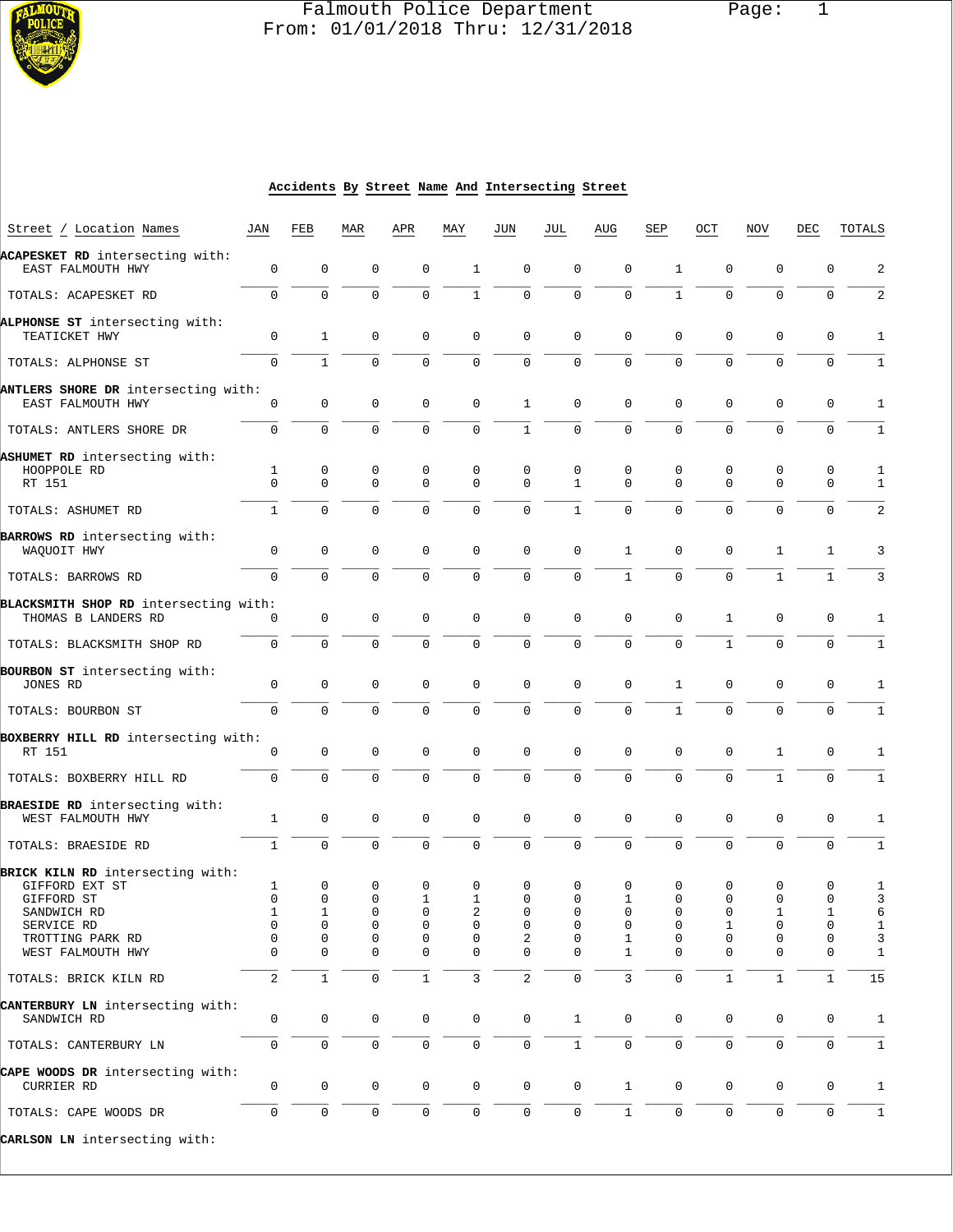

# Falmouth Police Department Page: 1  $\frac{1}{3}$  From: 01/01/2018 Thru: 12/31/2018

#### **Accidents By Street Name And Intersecting Street**

| Street / Location Names               | JAN           | FEB            | MAR         | APR          | MAY                 | JUN                 | JUL                 | AUG           | SEP          | OCT                 | <b>NOV</b>   | DEC          | TOTALS       |
|---------------------------------------|---------------|----------------|-------------|--------------|---------------------|---------------------|---------------------|---------------|--------------|---------------------|--------------|--------------|--------------|
| ACAPESKET RD intersecting with:       |               |                |             |              |                     |                     |                     |               |              |                     |              |              |              |
| EAST FALMOUTH HWY                     | 0             | 0              | 0           | 0            | $\mathbf{1}$        | 0                   | 0                   | 0             | 1            | 0                   | 0            | 0            | 2            |
| TOTALS: ACAPESKET RD                  | $\mathbf 0$   | $\mathbf 0$    | $\mathbf 0$ | $\mathbf 0$  | $\mathbf{1}$        | $\mathbf 0$         | $\mathbf 0$         | $\mathbf 0$   | $\mathbf{1}$ | $\mathbf{0}$        | $\Omega$     | 0            | 2            |
| ALPHONSE ST intersecting with:        |               |                |             |              |                     |                     |                     |               |              |                     |              |              |              |
| TEATICKET HWY                         | 0             | 1              | 0           | 0            | 0                   | 0                   | $\mathbf 0$         | $\mathbf 0$   | 0            | $\mathbf 0$         | $\mathbf 0$  | 0            | 1            |
| TOTALS: ALPHONSE ST                   | 0             | $\mathbf{1}$   | $\mathbf 0$ | $\mathsf{O}$ | $\mathbf 0$         | $\mathbf 0$         | $\mathbf 0$         | 0             | $\Omega$     | $\Omega$            | 0            | 0            | 1            |
| ANTLERS SHORE DR intersecting with:   |               |                |             |              |                     |                     |                     |               |              |                     |              |              |              |
| EAST FALMOUTH HWY                     | 0             | 0              | 0           | 0            | $\mathbf 0$         | 1                   | $\mathbf 0$         | $\mathbf 0$   | 0            | $\mathbf 0$         | $\mathbf 0$  | 0            | 1            |
| TOTALS: ANTLERS SHORE DR              | $\mathbf 0$   | $\overline{0}$ | $\mathbf 0$ | $\Omega$     | $\Omega$            | $\mathbf{1}$        | $\mathbf 0$         | 0             | 0            | $\mathbf{0}$        | $\Omega$     | 0            | 1            |
| ASHUMET RD intersecting with:         |               |                |             |              |                     |                     |                     |               |              |                     |              |              |              |
| HOOPPOLE RD                           | 1<br>$\Omega$ | 0              | 0           | 0            | 0                   | 0                   | 0                   | 0<br>$\Omega$ | 0            | 0                   | 0            | 0            | 1            |
| RT 151                                |               | 0              | $\Omega$    | $\Omega$     | $\Omega$            | $\Omega$            | $\mathbf{1}$        |               | $\Omega$     | $\Omega$            | $\Omega$     | 0            | 1            |
| TOTALS: ASHUMET RD                    | 1             | $\mathbf{0}$   | $\mathbf 0$ | 0            | $\mathbf 0$         | 0                   | 1                   | $\mathbf{0}$  | $\mathbf 0$  | $\mathbf 0$         | $\Omega$     | 0            | 2            |
| BARROWS RD intersecting with:         |               |                |             |              |                     |                     |                     |               |              |                     |              |              |              |
| WAQUOIT HWY                           | 0             | 0              | $\mathbf 0$ | 0            | $\mathbf 0$         | 0                   | $\mathbf 0$         | 1             | 0            | $\mathbf 0$         | 1            | 1            | 3            |
| TOTALS: BARROWS RD                    | 0             | $\mathbf 0$    | $\Omega$    | $\Omega$     | 0                   | $\mathbf 0$         | $\mathbf 0$         | $\mathbf{1}$  | $\mathbf 0$  | $\Omega$            | $\mathbf{1}$ | $\mathbf 1$  |              |
| BLACKSMITH SHOP RD intersecting with: |               |                |             |              |                     |                     |                     |               |              |                     |              |              |              |
| THOMAS B LANDERS RD                   | 0             | 0              | 0           | 0            | $\mathbf 0$         | 0                   | $\mathbf 0$         | $\mathbf 0$   | 0            | $\mathbf{1}$        | $\mathbf 0$  | 0            | 1            |
| TOTALS: BLACKSMITH SHOP RD            | $\mathbf 0$   | $\Omega$       | $\mathbf 0$ | $\mathbf 0$  | $\mathbf 0$         | $\mathbf 0$         | $\mathbf 0$         | 0             | $\Omega$     | $\mathbf{1}$        | $\Omega$     | $\mathbf 0$  | 1            |
| BOURBON ST intersecting with:         |               |                |             |              |                     |                     |                     |               |              |                     |              |              |              |
| JONES RD                              | 0             | 0              | 0           | $\Omega$     | 0                   | $\mathbf 0$         | $\mathbf 0$         | 0             | 1            | 0                   | $\mathbf 0$  | 0            | 1            |
| TOTALS: BOURBON ST                    | $\Omega$      | $\mathbf 0$    | $\mathbf 0$ | 0            | $\mathbf 0$         | $\mathbf 0$         | $\mathbf 0$         | 0             | $\mathbf{1}$ | $\mathbf{0}$        | $\mathbf 0$  | 0            | 1            |
| BOXBERRY HILL RD intersecting with:   |               |                |             |              |                     |                     |                     |               |              |                     |              |              |              |
| RT 151                                | 0             | $\mathbf 0$    | $\mathbf 0$ | 0            | 0                   | $\mathbf 0$         | $\mathbf 0$         | $\mathbf 0$   | 0            | 0                   | 1            | 0            | 1            |
| TOTALS: BOXBERRY HILL RD              | $\mathbf 0$   | 0              | $\mathbf 0$ | 0            | $\Omega$            | $\Omega$            | $\mathbf 0$         | 0             | $\mathbf 0$  | $\Omega$            | $\mathbf{1}$ | 0            | 1            |
| BRAESIDE RD intersecting with:        |               |                |             |              |                     |                     |                     |               |              |                     |              |              |              |
| WEST FALMOUTH HWY                     | $\mathbf{1}$  | 0              | $\mathbf 0$ | 0            | $\mathbf 0$         | $\mathbf 0$         | $\mathbf 0$         | $\mathbf 0$   | $\mathsf 0$  | $\mathbf{0}$        | $\mathbf 0$  | 0            | 1            |
| TOTALS: BRAESIDE RD                   | $\mathbf{1}$  | 0              | $\mathbf 0$ | 0            | 0                   | $\mathbf 0$         | $\mathbf 0$         | 0             | $\mathbf 0$  | $\mathbf{0}$        | 0            | 0            | 1            |
| BRICK KILN RD intersecting with:      |               |                |             |              |                     |                     |                     |               |              |                     |              |              |              |
| GIFFORD EXT ST                        | 1             | $\mathbf 0$    | 0           | 0            | 0                   | 0                   | 0                   | 0             | 0            | 0                   | 0            | 0            | 1            |
| GIFFORD ST                            | 0             | 0              | 0           | 1            | 1                   | $\Omega$            | $\Omega$            | 1             | 0            | 0                   | 0            | 0            | 3            |
| SANDWICH RD                           | $\mathbf{1}$  | $\mathbf{1}$   | $\mathbf 0$ | $\mathbf 0$  | 2                   | 0                   | $\Omega$            | $\Omega$      | 0            | $\mathbf 0$         | $\mathbf{1}$ | $\mathbf{1}$ | 6            |
| SERVICE RD                            | 0             | 0              | 0           | 0            | 0                   | 0                   | 0                   | 0             | 0            | 1                   | 0            | 0            | 1            |
| TROTTING PARK RD                      | 0             | 0              | 0           | 0            | 0                   | 2                   | 0                   | 1             | 0            | 0                   | 0            | 0            | 3            |
| WEST FALMOUTH HWY                     | $\Omega$      | 0              | 0           | 0            | $\mathbf 0$         | 0                   | $\mathbf 0$         | 1             | 0            | 0                   | $\mathbf 0$  | 0            | 1            |
| TOTALS: BRICK KILN RD                 | 2             | $\mathbf{1}$   | $\mathbf 0$ | $\mathbf{1}$ | 3                   | $\overline{c}$      | $\mathsf{O}\xspace$ | 3             | $\mathbf 0$  | $\mathbf{1}$        | $\mathbf{1}$ | $\mathbf{1}$ | 15           |
| CANTERBURY LN intersecting with:      |               |                |             |              |                     |                     |                     |               |              |                     |              |              |              |
| SANDWICH RD                           | 0             | 0              | 0           | 0            | 0                   | $\mathbf 0$         | $\mathbf{1}$        | 0             | 0            | 0                   | 0            | 0            | 1            |
| TOTALS: CANTERBURY LN                 | 0             | $\mathbf 0$    | $\mathbf 0$ | 0            | $\mathsf{O}$        | $\mathbf 0$         | $\mathbf{1}$        | $\mathbf 0$   | $\mathbf 0$  | $\mathbf 0$         | $\mathbf 0$  | $\mathbf 0$  | $\mathbf{1}$ |
| CAPE WOODS DR intersecting with:      |               |                |             |              |                     |                     |                     |               |              |                     |              |              |              |
| CURRIER RD                            | 0             | 0              | $\mathbf 0$ | 0            | 0                   | $\mathsf{O}\xspace$ | $\mathbf 0$         | 1             | 0            | 0                   | 0            | 0            | $\mathbf 1$  |
| TOTALS: CAPE WOODS DR                 | 0             | $\mathsf 0$    | $\mathsf 0$ | 0            | $\mathsf{O}\xspace$ | 0                   | $\mathbf 0$         | 1             | 0            | $\mathsf{O}\xspace$ | $\mathbf 0$  | $\mathbf 0$  | $\mathbf{1}$ |
|                                       |               |                |             |              |                     |                     |                     |               |              |                     |              |              |              |

**CARLSON LN** intersecting with: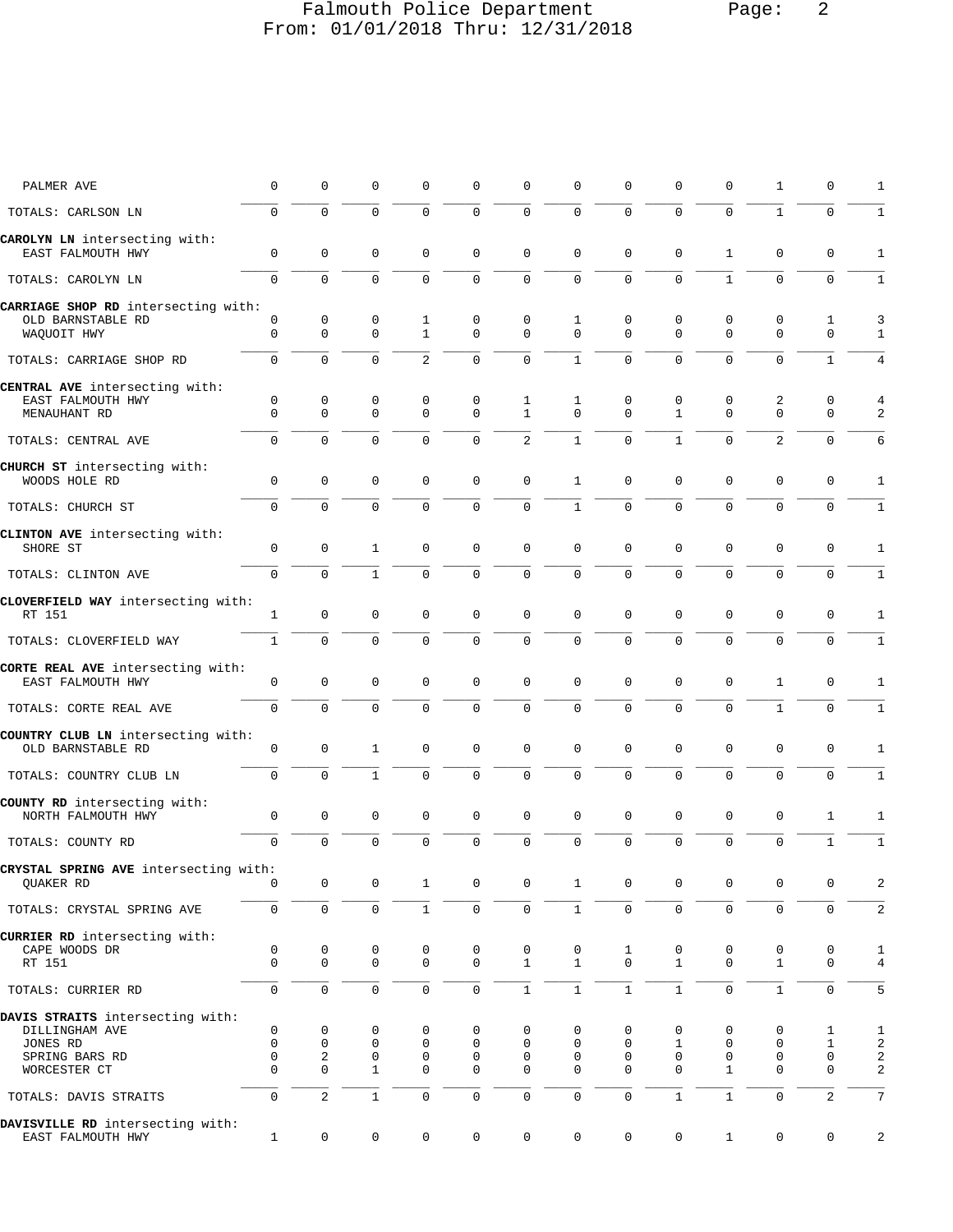# Falmouth Police Department Page: 2 From: 01/01/2018 Thru: 12/31/2018

| PALMER AVE                                                                                       | 0                          | 0                                             | 0                           | $\mathbf 0$                 | 0                          | 0                           | 0                          | 0                           | 0                          | 0                           | 1                           | 0                          | 1                         |
|--------------------------------------------------------------------------------------------------|----------------------------|-----------------------------------------------|-----------------------------|-----------------------------|----------------------------|-----------------------------|----------------------------|-----------------------------|----------------------------|-----------------------------|-----------------------------|----------------------------|---------------------------|
| TOTALS: CARLSON LN                                                                               | $\mathbf 0$                | $\mathbf 0$                                   | $\mathbf 0$                 | $\mathbf 0$                 | 0                          | $\mathbf 0$                 | $\mathbf 0$                | $\mathbf 0$                 | $\mathbf 0$                | $\mathbf 0$                 | $\mathbf{1}$                | $\mathbf 0$                | 1                         |
| CAROLYN LN intersecting with:<br>EAST FALMOUTH HWY                                               | $\mathbf 0$                | $\mathbf 0$                                   | $\mathbf 0$                 | $\mathbf{0}$                | 0                          | 0                           | $\mathbf 0$                | $\mathbf{0}$                | $\mathbf 0$                | $\mathbf{1}$                | $\mathbf 0$                 | $\mathbf 0$                | 1                         |
| TOTALS: CAROLYN LN                                                                               | $\mathbf 0$                | $\mathbf 0$                                   | $\mathbf 0$                 | $\mathbf{0}$                | 0                          | $\mathsf 0$                 | $\mathsf 0$                | $\Omega$                    | $\mathbf 0$                | $\mathbf{1}$                | $\mathbf 0$                 | $\mathbf 0$                | $\mathbf 1$               |
| CARRIAGE SHOP RD intersecting with:<br>OLD BARNSTABLE RD<br>WAQUOIT HWY                          | 0<br>$\mathbf 0$           | 0<br>$\mathbf 0$                              | 0<br>$\mathbf 0$            | 1<br>$\mathbf{1}$           | 0<br>$\Omega$              | 0<br>$\mathbf 0$            | 1<br>$\mathbf 0$           | 0<br>$\Omega$               | 0<br>$\Omega$              | 0<br>$\mathbf{0}$           | 0<br>$\Omega$               | 1<br>$\mathbf 0$           | 3<br>$\mathbf{1}$         |
| TOTALS: CARRIAGE SHOP RD                                                                         | 0                          | $\mathbf 0$                                   | 0                           | $\overline{a}$              | 0                          | $\mathbf 0$                 | $\mathbf{1}$               | 0                           | $\mathbf 0$                | $\mathbf 0$                 | $\mathbf 0$                 | $\mathbf 1$                | 4                         |
| CENTRAL AVE intersecting with:<br>EAST FALMOUTH HWY<br>MENAUHANT RD                              | 0<br>$\mathbf 0$           | 0<br>$\mathbf 0$                              | 0<br>$\mathbf 0$            | 0<br>$\mathbf 0$            | 0<br>$\mathbf 0$           | 1<br>$\mathbf{1}$           | 1<br>$\Omega$              | 0<br>$\Omega$               | 0<br>$\mathbf{1}$          | 0<br>$\mathbf 0$            | 2<br>$\mathbf{0}$           | 0<br>$\mathbf 0$           | 4<br>2                    |
| TOTALS: CENTRAL AVE                                                                              | $\Omega$                   | $\Omega$                                      | $\Omega$                    | $\Omega$                    | $\Omega$                   | $\overline{2}$              | $\mathbf{1}$               | $\Omega$                    | $\mathbf{1}$               | $\Omega$                    | $\overline{2}$              | $\Omega$                   | 6                         |
| CHURCH ST intersecting with:<br>WOODS HOLE RD                                                    | $\mathsf 0$                | $\mathsf 0$                                   | $\mathbf 0$                 | $\mathbf 0$                 | 0                          | $\mathsf 0$                 | $\mathbf{1}$               | 0                           | 0                          | 0                           | $\mathbf 0$                 | 0                          | 1                         |
| TOTALS: CHURCH ST                                                                                | $\mathbf 0$                | $\mathbf 0$                                   | $\mathbf 0$                 | 0                           | 0                          | $\mathbf 0$                 | $1\,$                      | 0                           | $\mathbf 0$                | 0                           | $\mathbf 0$                 | $\mathbf 0$                | $\mathbf 1$               |
| CLINTON AVE intersecting with:<br>SHORE ST                                                       | $\mathbf 0$                | $\mathbf 0$                                   | $\mathbf{1}$                | $\mathbf{0}$                | $\mathbf 0$                | $\mathbf 0$                 | $\mathbf 0$                | 0                           | 0                          | $\mathbf 0$                 | $\mathbf 0$                 | $\mathbf 0$                | 1                         |
| TOTALS: CLINTON AVE                                                                              | $\mathbf 0$                | $\mathbf 0$                                   | $\mathbf{1}$                | $\mathbf 0$                 | 0                          | $\mathbf 0$                 | 0                          | 0                           | 0                          | $\mathbf 0$                 | $\mathbf 0$                 | $\mathbf 0$                | $\mathbf{1}$              |
| CLOVERFIELD WAY intersecting with:<br>RT 151                                                     | $\mathbf{1}$               | $\mathbf 0$                                   | $\mathbf 0$                 | $\mathbf 0$                 | $\mathbf 0$                | $\mathbf 0$                 | $\mathsf 0$                | $\mathsf 0$                 | $\mathbf 0$                | $\mathbf 0$                 | $\mathbf{0}$                | $\mathbf 0$                | 1                         |
| TOTALS: CLOVERFIELD WAY                                                                          | $\mathbf{1}$               | $\Omega$                                      | $\Omega$                    | $\Omega$                    | $\Omega$                   | $\mathbf 0$                 | $\mathbf 0$                | $\Omega$                    | $\Omega$                   | $\Omega$                    | $\Omega$                    | $\Omega$                   | $1\,$                     |
| CORTE REAL AVE intersecting with:<br>EAST FALMOUTH HWY                                           | 0                          | $\mathbf 0$                                   | 0                           | $\Omega$                    | 0                          | 0                           | 0                          | $\mathbf 0$                 | 0                          | $\mathbf 0$                 | 1                           | 0                          | 1                         |
| TOTALS: CORTE REAL AVE                                                                           | $\mathbf 0$                | $\mathbf 0$                                   | $\mathbf 0$                 | $\mathbf 0$                 | 0                          | $\mathbf 0$                 | $\mathbf 0$                | $\mathbf 0$                 | $\mathbf 0$                | 0                           | $\mathbf{1}$                | $\mathbf 0$                | $\mathbf 1$               |
| COUNTRY CLUB LN intersecting with:<br>OLD BARNSTABLE RD                                          | 0                          | $\mathsf 0$                                   | $\mathbf{1}$                | $\mathbf 0$                 | 0                          | 0                           | $\mathsf 0$                | 0                           | 0                          | 0                           | $\mathbf 0$                 | 0                          | 1                         |
| TOTALS: COUNTRY CLUB LN                                                                          | $\mathbf 0$                | $\mathbf 0$                                   | $\mathbf{1}$                | $\Omega$                    | $\Omega$                   | $\mathbf 0$                 | $\mathbf 0$                | $\Omega$                    | $\Omega$                   | $\Omega$                    | $\Omega$                    | $\mathbf 0$                | $1\,$                     |
| COUNTY RD intersecting with:<br>NORTH FALMOUTH HWY                                               | $\mathsf 0$                | $\mathsf{0}$                                  | $\mathbf 0$                 | 0                           | 0                          | $\mathsf 0$                 | $\mathsf 0$                | $\mathsf 0$                 | 0                          | 0                           | $\mathsf 0$                 | 1                          | 1                         |
| TOTALS: COUNTY RD                                                                                | 0                          | 0                                             | $\mathbf 0$                 | $\mathbf 0$                 | 0                          | 0                           | $\mathsf 0$                | 0                           | $\mathbf 0$                | $\mathbf 0$                 | $\mathsf 0$                 | $\mathbf{1}$               | $1\,$                     |
| CRYSTAL SPRING AVE intersecting with:<br>QUAKER RD                                               | 0                          | $\mathsf{0}$                                  | 0                           | 1                           | 0                          | $\mathsf 0$                 | $\mathbf{1}$               | 0                           | 0                          | 0                           | 0                           | 0                          | 2                         |
| TOTALS: CRYSTAL SPRING AVE                                                                       | $\mathsf{O}\xspace$        | $\mathsf 0$                                   | $\mathsf{O}\xspace$         | $\,1$                       | $\mathsf 0$                | 0                           | $\,1\,$                    | $\mathsf{O}$                | $\mathsf 0$                | 0                           | $\mathbf 0$                 | $\mathsf{O}\xspace$        | 2                         |
| CURRIER RD intersecting with:<br>CAPE WOODS DR<br>RT 151                                         | 0<br>$\mathbf 0$           | 0<br>$\mathbf 0$                              | 0<br>0                      | 0<br>$\mathbf 0$            | 0<br>$\mathsf 0$           | $\mathsf 0$<br>$\mathbf{1}$ | 0<br>$\mathbf{1}$          | $\mathbf{1}$<br>$\Omega$    | 0<br>$\mathbf 1$           | 0<br>$\mathbf{0}$           | 0<br>$\mathbf{1}$           | 0<br>0                     | 1<br>4                    |
| TOTALS: CURRIER RD                                                                               | 0                          | $\mathbf 0$                                   | 0                           | $\mathbf 0$                 | 0                          | $\mathbf{1}$                | $\mathbf{1}$               | $\mathbf{1}$                | $\mathbf{1}$               | 0                           | $\mathbf{1}$                | $\mathbf 0$                | 5                         |
| DAVIS STRAITS intersecting with:<br>DILLINGHAM AVE<br>JONES RD<br>SPRING BARS RD<br>WORCESTER CT | 0<br>0<br>0<br>$\mathbf 0$ | 0<br>$\mathbf 0$<br>$\sqrt{2}$<br>$\mathbf 0$ | 0<br>0<br>0<br>$\mathbf{1}$ | 0<br>0<br>0<br>$\mathbf{0}$ | 0<br>0<br>0<br>$\mathsf 0$ | 0<br>0<br>0<br>0            | 0<br>0<br>0<br>$\mathbf 0$ | 0<br>0<br>0<br>$\mathbf{0}$ | 0<br>1<br>0<br>$\mathbf 0$ | 0<br>0<br>0<br>$\mathbf{1}$ | 0<br>0<br>0<br>$\mathbf{0}$ | 1<br>1<br>0<br>$\mathbf 0$ | 1<br>2<br>2<br>$\sqrt{2}$ |
| TOTALS: DAVIS STRAITS                                                                            | 0                          | $\overline{2}$                                | $\mathbf{1}$                | $\mathsf{O}\xspace$         | 0                          | 0                           | $\mathsf 0$                | 0                           | $1\,$                      | $\mathbf{1}$                | $\mathsf 0$                 | 2                          | 7                         |
| DAVISVILLE RD intersecting with:<br>EAST FALMOUTH HWY                                            | $\mathbf{1}$               | $\mathsf{O}\xspace$                           | $\mathsf 0$                 | 0                           | 0                          | $\mathsf{O}$                | $\mathsf{O}\xspace$        | $\mathbf 0$                 | 0                          | $\mathbf{1}$                | 0                           | 0                          | 2                         |
|                                                                                                  |                            |                                               |                             |                             |                            |                             |                            |                             |                            |                             |                             |                            |                           |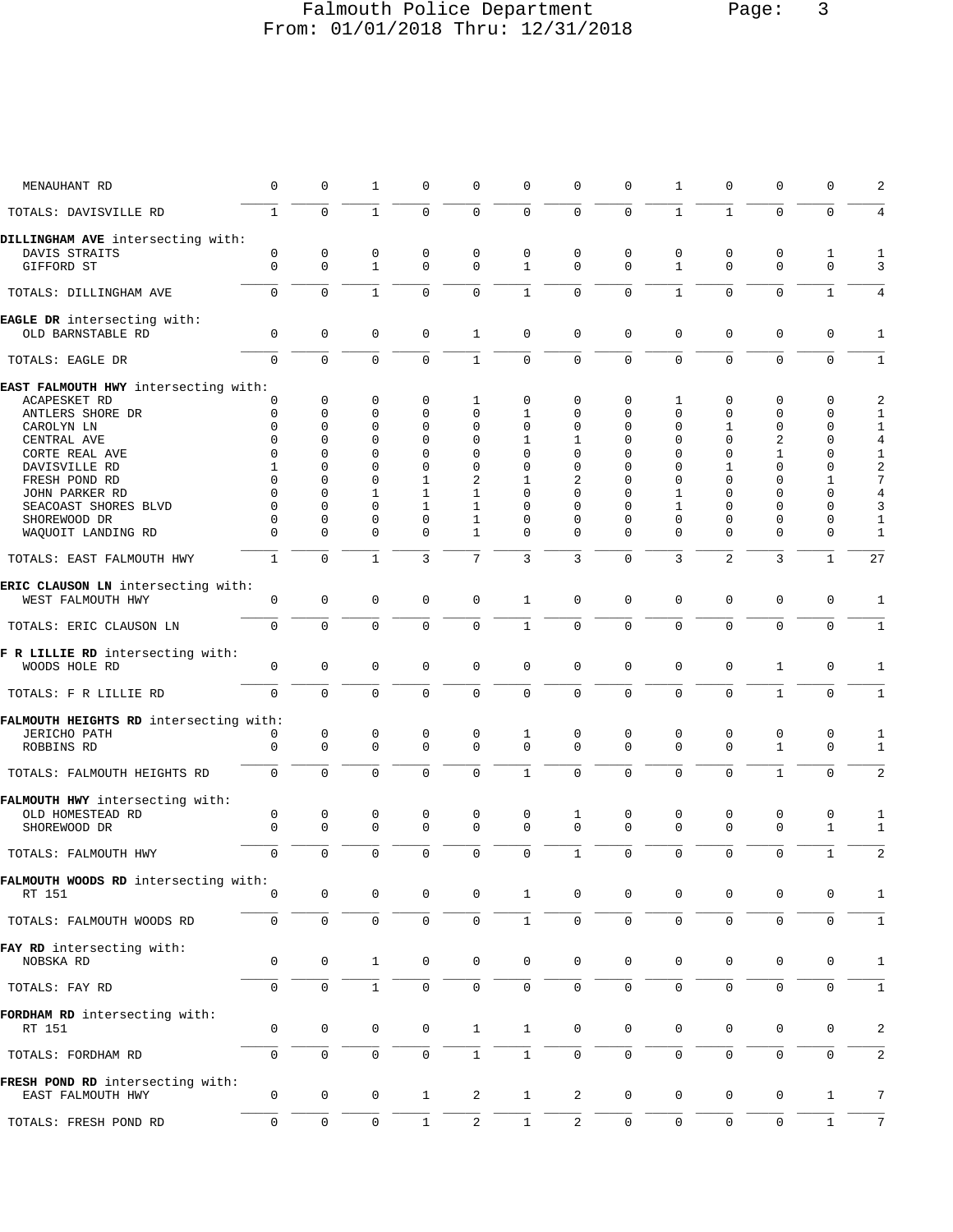# Falmouth Police Department Page: 3 From: 01/01/2018 Thru: 12/31/2018

| MENAUHANT RD                                            | $\mathbf 0$         | 0                   | $\mathbf{1}$      | $\Omega$         | $\mathbf 0$         | $\mathbf 0$       | $\mathbf{0}$        | $\Omega$          | $\mathbf{1}$        | $\mathbf 0$      | $\Omega$            | 0            | 2              |
|---------------------------------------------------------|---------------------|---------------------|-------------------|------------------|---------------------|-------------------|---------------------|-------------------|---------------------|------------------|---------------------|--------------|----------------|
| TOTALS: DAVISVILLE RD                                   | $\mathbf{1}$        | $\mathbf 0$         | $\mathbf{1}$      | $\Omega$         | $\mathbf 0$         | $\mathbf 0$       | $\mathbf 0$         | $\mathbf 0$       | $\mathbf{1}$        | $\mathbf{1}$     | $\Omega$            | $\mathbf 0$  |                |
| DILLINGHAM AVE intersecting with:                       |                     |                     |                   |                  |                     |                   |                     |                   |                     |                  |                     |              |                |
| DAVIS STRAITS<br>GIFFORD ST                             | 0<br>$\mathbf 0$    | 0<br>0              | 0<br>$\mathbf{1}$ | 0<br>$\mathbf 0$ | 0<br>$\mathbf 0$    | 0<br>$\mathbf{1}$ | 0<br>$\mathbf 0$    | 0<br>$\mathbf{0}$ | 0<br>$\mathbf{1}$   | 0<br>$\mathbf 0$ | 0<br>$\mathbf 0$    | 1<br>0       | 1<br>3         |
| TOTALS: DILLINGHAM AVE                                  | $\mathbf 0$         | 0                   | $\mathbf{1}$      | $\mathbf 0$      | $\mathbf 0$         | $\mathbf{1}$      | $\mathbf 0$         | $\mathbf 0$       | $\mathbf{1}$        | $\mathbf 0$      | $\mathbf{0}$        | $\mathbf{1}$ | 4              |
| EAGLE DR intersecting with:<br>OLD BARNSTABLE RD        | $\mathbf 0$         | $\mathbf 0$         | 0                 | $\mathbf 0$      | 1                   | $\mathbf 0$       | $\mathbf 0$         | $\mathbf 0$       | $\mathbf 0$         | $\mathbf 0$      | $\mathbf 0$         | $\mathbf 0$  | $\mathbf{1}$   |
| TOTALS: EAGLE DR                                        | $\Omega$            | $\mathbf 0$         | 0                 | $\Omega$         | $\mathbf{1}$        | $\mathbf 0$       | $\mathbf 0$         | 0                 | $\mathbf 0$         | $\mathbf 0$      | $\Omega$            | $\mathbf 0$  | $\mathbf{1}$   |
| EAST FALMOUTH HWY intersecting with:                    |                     |                     |                   |                  |                     |                   |                     |                   |                     |                  |                     |              |                |
| <b>ACAPESKET RD</b>                                     | 0                   | $\mathbf 0$         | 0                 | 0                | 1                   | 0                 | 0                   | 0                 | 1                   | 0                | 0                   | 0            | 2              |
| ANTLERS SHORE DR                                        | $\Omega$            | $\Omega$            | 0                 | $\Omega$         | $\Omega$            | 1                 | 0                   | $\Omega$          | $\Omega$            | $\Omega$         | 0                   | 0            | 1              |
| CAROLYN LN                                              | $\Omega$            | $\Omega$            | $\Omega$          | $\Omega$         | $\Omega$            | $\Omega$          | $\mathbf 0$         | $\Omega$          | $\Omega$            | 1                | $\mathbf{0}$        | $\mathbf 0$  | $\mathbf{1}$   |
| CENTRAL AVE                                             | $\Omega$            | $\Omega$            | $\Omega$          | $\Omega$         | $\Omega$            | 1                 | $\mathbf{1}$        | $\Omega$          | $\Omega$            | $\mathbf 0$      | 2                   | $\mathbf 0$  | $\overline{4}$ |
| CORTE REAL AVE                                          | $\Omega$            | 0                   | $\Omega$          | $\Omega$         | $\mathbf 0$         | 0                 | 0                   | $\Omega$          | $\Omega$            | $\Omega$         | $\mathbf{1}$        | 0            | $\mathbf{1}$   |
|                                                         |                     | $\Omega$            | $\Omega$          | $\Omega$         | $\mathbf 0$         |                   | $\Omega$            | $\Omega$          | $\Omega$            |                  | $\Omega$            | $\mathbf 0$  |                |
| DAVISVILLE RD                                           | 1                   |                     |                   |                  |                     | 0                 |                     |                   |                     | 1                |                     |              | $\sqrt{2}$     |
| FRESH POND RD                                           | $\Omega$            | 0                   | $\Omega$          | $\mathbf{1}$     | 2                   | 1                 | $\overline{2}$      | $\Omega$          | $\Omega$            | $\Omega$         | $\Omega$            | $\mathbf{1}$ | $\overline{7}$ |
| JOHN PARKER RD                                          | $\Omega$            | 0                   | 1                 | $\mathbf{1}$     | 1                   | $\Omega$          | $\Omega$            | $\Omega$          | 1                   | $\Omega$         | $\Omega$            | $\Omega$     | $\,4$          |
| SEACOAST SHORES BLVD                                    | $\Omega$            | 0                   | $\Omega$          | $\mathbf{1}$     | $\mathbf{1}$        | $\Omega$          | $\Omega$            | $\Omega$          | $\mathbf{1}$        | $\Omega$         | $\Omega$            | $\Omega$     | 3              |
| SHOREWOOD DR                                            | 0                   | 0                   | $\Omega$          | $\Omega$         | $\mathbf{1}$        | 0                 | $\mathbf 0$         | 0                 | $\mathbf 0$         | 0                | $\mathbf{0}$        | $\mathbf 0$  | $\mathbf 1$    |
| WAQUOIT LANDING RD                                      | $\Omega$            | $\Omega$            | $\Omega$          | $\Omega$         | $\mathbf{1}$        | 0                 | $\Omega$            | $\Omega$          | $\Omega$            | 0                | $\mathbf 0$         | 0            | $\mathbf{1}$   |
| TOTALS: EAST FALMOUTH HWY                               | $\mathbf{1}$        | $\Omega$            | $\mathbf{1}$      | $\overline{3}$   | 7                   | 3                 | 3                   | $\Omega$          | 3                   | $\overline{2}$   | 3                   | $\mathbf{1}$ | 27             |
| ERIC CLAUSON LN intersecting with:<br>WEST FALMOUTH HWY | $\mathbf 0$         | 0                   | 0                 | $\Omega$         | $\mathbf 0$         | $\mathbf{1}$      | $\mathbf{0}$        | $\mathbf{0}$      | $\mathbf 0$         | $\mathbf 0$      | $\mathbf{0}$        | $\mathbf 0$  | $\mathbf{1}$   |
| TOTALS: ERIC CLAUSON LN                                 | $\mathbf 0$         | $\mathbf 0$         | 0                 | $\mathbf 0$      | $\mathbf 0$         | $\mathbf{1}$      | $\mathbf 0$         | $\mathbf 0$       | $\mathbf 0$         | $\mathbf 0$      | $\mathbf{0}$        | $\mathbf 0$  | $\mathbf{1}$   |
| F R LILLIE RD intersecting with:<br>WOODS HOLE RD       | $\mathbf 0$         | $\mathbf 0$         | 0                 | $\mathbf 0$      | $\mathsf 0$         | $\mathbf 0$       | $\mathbf 0$         | $\mathbf 0$       | $\mathbf 0$         | $\mathbf 0$      | $\mathbf{1}$        | 0            | $\mathbf{1}$   |
| TOTALS: F R LILLIE RD                                   | $\Omega$            | $\Omega$            | $\Omega$          | $\Omega$         | 0                   | $\mathbf 0$       | $\mathbf 0$         | 0                 | $\mathbf 0$         | $\mathbf 0$      | $\mathbf{1}$        | $\mathbf 0$  | $\mathbf{1}$   |
| FALMOUTH HEIGHTS RD intersecting with:                  |                     |                     |                   |                  |                     |                   |                     |                   |                     |                  |                     |              |                |
| <b>JERICHO PATH</b>                                     | 0                   | $\mathsf 0$         | 0                 | 0                | 0                   | 1                 | 0                   | 0                 | 0                   | 0                | 0                   | 0            | 1              |
| ROBBINS RD                                              | $\Omega$            | $\Omega$            | 0                 | $\Omega$         | $\Omega$            | $\mathbf 0$       | $\Omega$            | $\Omega$          | $\Omega$            | $\mathbf 0$      | $\mathbf{1}$        | $\mathbf 0$  | 1              |
| TOTALS: FALMOUTH HEIGHTS RD                             | $\mathbf 0$         | $\mathbf 0$         | 0                 | $\Omega$         | $\mathbf 0$         | $\mathbf{1}$      | $\mathbf 0$         | $\mathbf 0$       | $\mathbf 0$         | $\mathbf 0$      | $\mathbf{1}$        | $\mathbf 0$  | 2              |
| FALMOUTH HWY intersecting with:<br>OLD HOMESTEAD RD     | 0                   | 0                   | 0                 | $\mathbf 0$      | 0                   | 0                 | 1                   | 0                 | 0                   | 0                | 0                   | 0            | 1              |
| SHOREWOOD DR                                            | $\mathbf 0$         | $\mathbf 0$         | 0                 | $\mathbf{0}$     | $\mathbf 0$         | $\mathbf 0$       | $\Omega$            | $\mathbf 0$       | $\mathbf 0$         | $\mathbf 0$      | $\mathbf 0$         | $\mathbf{1}$ | $\mathbf{1}$   |
| TOTALS: FALMOUTH HWY                                    | $\mathbf 0$         | $\mathbf 0$         | 0                 | $\Omega$         | $\mathbf 0$         | $\mathbf 0$       | $\mathbf{1}$        | $\mathbf 0$       | $\mathbf 0$         | $\mathbf 0$      | $\mathbf 0$         | $\mathbf{1}$ | $\overline{a}$ |
| FALMOUTH WOODS RD intersecting with:                    |                     |                     |                   |                  |                     |                   |                     |                   |                     |                  |                     |              |                |
| RT 151                                                  | 0                   | $\mathbf 0$         | 0                 | 0                | 0                   | $\mathbf{1}$      | $\mathsf 0$         | $\mathsf 0$       | $\mathbf 0$         | 0                | 0                   | 0            | $\mathbf{1}$   |
| TOTALS: FALMOUTH WOODS RD                               | $\mathsf{O}\xspace$ | $\mathsf{O}\xspace$ | $\mathsf 0$       | $\mathbf 0$      | $\mathsf{O}\xspace$ | $\mathbf{1}$      | $\mathsf{O}\xspace$ | $\mathbf 0$       | $\mathbf 0$         | $\mathsf 0$      | $\mathsf{O}\xspace$ | $\mathsf 0$  | $\mathbf{1}$   |
| FAY RD intersecting with:<br>NOBSKA RD                  | 0                   | $\mathbf 0$         | $\mathbf{1}$      | $\mathbf 0$      | 0                   | $\mathbf 0$       | $\mathbf 0$         | 0                 | $\mathbf 0$         | 0                | $\mathbf 0$         | 0            | 1              |
| TOTALS: FAY RD                                          | 0                   | $\mathbf 0$         | $\mathbf{1}$      | 0                | 0                   | $\mathbf 0$       | 0                   | $\mathbf 0$       | $\mathsf{O}\xspace$ | $\mathbf 0$      | $\mathbf 0$         | $\mathbf 0$  | 1              |
| FORDHAM RD intersecting with:<br>RT 151                 | $\mathbf 0$         | $\mathsf 0$         | $\mathsf 0$       | 0                | $\mathbf{1}$        | $\mathbf{1}$      | 0                   | 0                 | $\mathbf 0$         | $\mathbf 0$      | 0                   | $\mathbf 0$  | 2              |
| TOTALS: FORDHAM RD                                      | 0                   | 0                   | 0                 | $\mathbf 0$      | $\mathbf{1}$        | $1\,$             | $\mathsf 0$         | $\mathbf 0$       | $\mathbf 0$         | $\mathsf 0$      | $\mathbf{0}$        | $\mathsf 0$  | 2              |
| FRESH POND RD intersecting with:                        |                     |                     |                   |                  |                     |                   |                     |                   |                     |                  |                     |              |                |
| EAST FALMOUTH HWY                                       | 0                   | $\mathbf 0$         | $\mathsf 0$       | $\mathbf{1}$     | 2                   | $\mathbf{1}$      | 2                   | 0                 | $\mathbf 0$         | $\mathbf 0$      | 0                   | $\mathbf{1}$ | $\overline{7}$ |
| TOTALS: FRESH POND RD                                   | 0                   | $\mathsf 0$         | 0                 | $\mathbf{1}$     | $\boldsymbol{2}$    | $\,1$             | $\boldsymbol{2}$    | $\mathbf 0$       | $\mathsf 0$         | $\mathbb O$      | $\mathsf 0$         | $\mathbf{1}$ | 7              |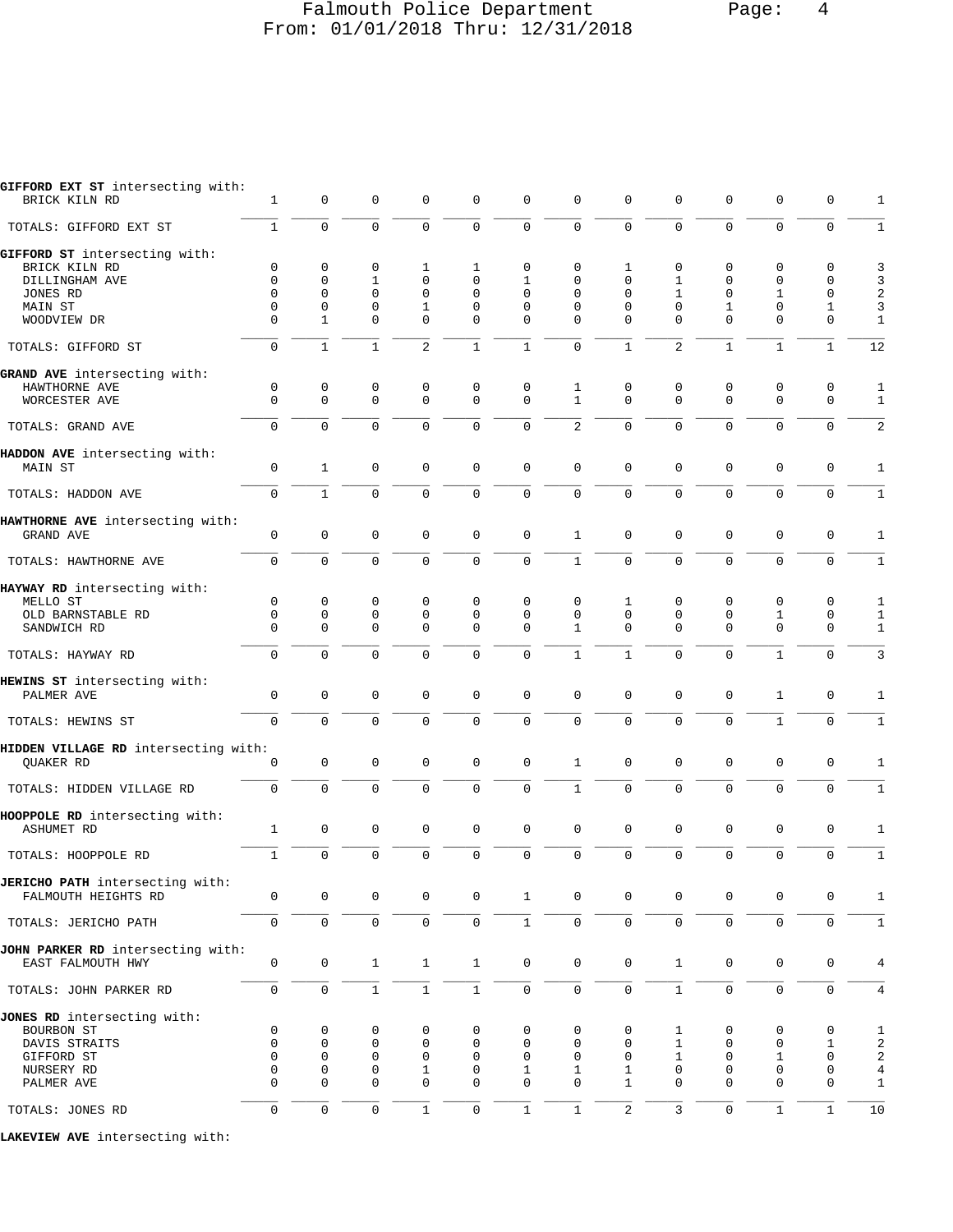## Falmouth Police Department Page: 4 From: 01/01/2018 Thru: 12/31/2018

| GIFFORD EXT ST intersecting with:<br>BRICK KILN RD                                      | 1                                 | 0                               | 0                                    | 0                                               | 0                                           | $\mathbf 0$             | 0                                | 0                                 | 0                | 0                                              | 0                                              | 0                                              | 1                                                       |
|-----------------------------------------------------------------------------------------|-----------------------------------|---------------------------------|--------------------------------------|-------------------------------------------------|---------------------------------------------|-------------------------|----------------------------------|-----------------------------------|------------------|------------------------------------------------|------------------------------------------------|------------------------------------------------|---------------------------------------------------------|
| TOTALS: GIFFORD EXT ST                                                                  | $\mathbf{1}$                      | $\mathbf 0$                     | $\mathbf 0$                          | 0                                               | $\mathbf 0$                                 | $\mathbf 0$             | $\mathbf 0$                      | $\Omega$                          | $\Omega$         | $\mathbf 0$                                    | $\mathbf 0$                                    | $\mathbf 0$                                    | $\mathbf{1}$                                            |
| GIFFORD ST intersecting with:<br>BRICK KILN RD<br>DILLINGHAM AVE<br>JONES RD<br>MAIN ST | 0<br>0<br>$\Omega$<br>0           | 0<br>$\mathbf 0$<br>0<br>0      | 0<br>1<br>$\mathbf 0$<br>0           | 1<br>$\mathbf 0$<br>$\mathbf 0$<br>1            | 1<br>$\mathbf 0$<br>$\Omega$<br>$\mathbf 0$ | 0<br>1<br>$\Omega$<br>0 | 0<br>0<br>$\Omega$<br>0          | 1<br>0<br>0<br>0                  | 0<br>1<br>1<br>0 | $\mathbf 0$<br>$\mathbf 0$<br>$\mathbf 0$<br>1 | $\mathbf 0$<br>$\mathbf 0$<br>1<br>$\mathbf 0$ | $\mathbf 0$<br>$\mathbf 0$<br>$\mathbf 0$<br>1 | 3<br>3<br>$\overline{\mathbf{c}}$<br>3                  |
| WOODVIEW DR                                                                             | $\Omega$                          | 1                               | $\Omega$                             | $\mathbf 0$                                     | $\mathbf 0$                                 | $\Omega$                | $\Omega$                         | $\Omega$                          | $\Omega$         | $\Omega$                                       | $\mathbf 0$                                    | $\mathbf 0$                                    | 1                                                       |
| TOTALS: GIFFORD ST                                                                      | $\mathsf 0$                       | $\mathbf{1}$                    | $\mathbf{1}$                         | 2                                               | $\mathbf{1}$                                | $\mathbf{1}$            | $\mathbf 0$                      | $\mathbf{1}$                      | 2                | $\mathbf{1}$                                   | $\mathbf{1}$                                   | $\mathbf{1}$                                   | 12                                                      |
| GRAND AVE intersecting with:<br>HAWTHORNE AVE<br>WORCESTER AVE                          | 0<br>0                            | 0<br>$\mathbf 0$                | 0<br>$\mathbf 0$                     | 0<br>$\mathbf 0$                                | 0<br>$\mathbf 0$                            | 0<br>$\mathbf 0$        | 1<br>$\mathbf{1}$                | 0<br>$\mathbf 0$                  | 0<br>$\mathbf 0$ | 0<br>$\mathbf 0$                               | 0<br>$\mathbf 0$                               | 0<br>$\mathbf 0$                               | 1<br>$\mathbf{1}$                                       |
| TOTALS: GRAND AVE                                                                       | $\mathbf 0$                       | $\mathbf 0$                     | $\mathbf 0$                          | $\Omega$                                        | $\mathbf 0$                                 | $\mathbf 0$             | $\overline{a}$                   | $\Omega$                          | $\mathbf 0$      | $\mathbf{0}$                                   | $\Omega$                                       | $\mathbf 0$                                    | 2                                                       |
| HADDON AVE intersecting with:<br>MAIN ST                                                | 0                                 | $\mathbf{1}$                    | 0                                    | 0                                               | $\mathbf 0$                                 | $\mathsf 0$             | $\mathbf 0$                      | 0                                 | $\mathbf 0$      | $\mathbf 0$                                    | 0                                              | $\mathbf 0$                                    | 1                                                       |
| TOTALS: HADDON AVE                                                                      | 0                                 | $\mathbf{1}$                    | $\mathbf 0$                          | $\mathbf 0$                                     | $\mathbf 0$                                 | $\mathbf 0$             | $\mathbf 0$                      | $\overline{0}$                    | $\mathbf 0$      | $\mathbf 0$                                    | $\mathbf 0$                                    | $\mathsf 0$                                    | 1                                                       |
| HAWTHORNE AVE intersecting with:<br>GRAND AVE                                           | 0                                 | $\mathbf 0$                     | $\mathbf 0$                          | 0                                               | $\mathbf 0$                                 | $\mathbf 0$             | $\mathbf{1}$                     | 0                                 | $\mathsf 0$      | $\mathbf 0$                                    | 0                                              | $\mathbf 0$                                    | 1                                                       |
| TOTALS: HAWTHORNE AVE                                                                   | $\mathbf 0$                       | $\mathbf 0$                     | $\mathbf 0$                          | $\mathbf 0$                                     | $\mathbf 0$                                 | $\mathbf 0$             | $\mathbf{1}$                     | $\Omega$                          | $\mathbf 0$      | $\mathbf{0}$                                   | $\mathbf 0$                                    | $\mathbf 0$                                    | 1                                                       |
| HAYWAY RD intersecting with:<br>MELLO ST<br>OLD BARNSTABLE RD<br>SANDWICH RD            | 0<br>$\mathbf 0$<br>$\Omega$      | $\mathbf 0$<br>0<br>$\mathbf 0$ | 0<br>$\mathbf 0$<br>0                | 0<br>$\mathbf 0$<br>$\mathbf 0$                 | $\mathbf 0$<br>0<br>$\mathbf 0$             | 0<br>0<br>$\Omega$      | 0<br>$\mathbf 0$<br>$\mathbf{1}$ | 1<br>$\mathsf 0$<br>$\Omega$      | 0<br>0<br>0      | $\mathbf 0$<br>$\mathbf 0$<br>$\mathbf 0$      | 0<br>1<br>$\mathbf 0$                          | $\mathbf 0$<br>0<br>0                          | 1<br>1<br>1                                             |
| TOTALS: HAYWAY RD                                                                       | $\mathbf 0$                       | $\mathbf 0$                     | $\Omega$                             | $\Omega$                                        | $\mathbf 0$                                 | $\mathbf 0$             | $\mathbf{1}$                     | $\mathbf{1}$                      | $\mathbf 0$      | $\mathbf{0}$                                   | $\mathbf{1}$                                   | $\mathbf 0$                                    | 3                                                       |
| HEWINS ST intersecting with:<br>PALMER AVE                                              | $\mathsf 0$                       | $\mathsf{O}\xspace$             | $\mathbf 0$                          | $\mathbf 0$                                     | $\mathbf 0$                                 | $\mathbf 0$             | $\mathbf 0$                      | 0                                 | 0                | $\mathbf 0$                                    | 1                                              | $\mathsf 0$                                    | 1                                                       |
| TOTALS: HEWINS ST                                                                       | 0                                 | $\mathbf 0$                     | $\mathbf 0$                          | 0                                               | $\mathbf 0$                                 | $\mathsf{O}\xspace$     | 0                                | $\mathbf 0$                       | $\mathbf 0$      | $\mathbf 0$                                    | $\mathbf{1}$                                   | $\mathsf{O}\xspace$                            | $\mathbf{1}$                                            |
| HIDDEN VILLAGE RD intersecting with:<br>QUAKER RD                                       | $\mathbf 0$                       | $\mathbf 0$                     | $\mathbf 0$                          | $\mathbf 0$                                     | $\mathbf 0$                                 | $\mathbf 0$             | $\mathbf{1}$                     | 0                                 | $\mathbf 0$      | $\mathbf{0}$                                   | $\mathbf 0$                                    | $\mathbf 0$                                    | $\mathbf{1}$                                            |
| TOTALS: HIDDEN VILLAGE RD                                                               | $\mathbf 0$                       | $\mathbf 0$                     | $\mathbf 0$                          | $\mathbf 0$                                     | $\mathbf 0$                                 | $\mathsf 0$             | $\mathbf{1}$                     | $\mathsf 0$                       | 0                | $\mathbf{0}$                                   | $\mathbf 0$                                    | $\mathbf 0$                                    | $\mathbf{1}$                                            |
| HOOPPOLE RD intersecting with:<br><b>ASHUMET RD</b>                                     | $\mathbf{1}$                      | $\mathbf 0$                     | $\mathbf 0$                          | $\mathbf 0$                                     | $\mathbf 0$                                 | $\mathbf 0$             | $\mathbf 0$                      | $\mathsf 0$                       | 0                | $\mathbf 0$                                    | $\mathbf 0$                                    | $\mathbf 0$                                    | 1                                                       |
| TOTALS: HOOPPOLE RD                                                                     | $\mathbf{1}$                      | $\mathbf 0$                     | $\mathbf 0$                          | $\mathbf 0$                                     | $\mathbf 0$                                 | $\mathbf 0$             | $\mathbf 0$                      | 0                                 | $\mathbf 0$      | $\mathbf{0}$                                   | $\mathbf 0$                                    | $\mathbf 0$                                    | $\mathbf{1}$                                            |
| JERICHO PATH intersecting with:<br>FALMOUTH HEIGHTS RD                                  | 0                                 | $\mathbf 0$                     | $\mathbf 0$                          | $\mathbf 0$                                     | 0                                           | $\mathbf{1}$            | 0                                | 0                                 | 0                | $\mathbf 0$                                    | 0                                              | 0                                              | 1                                                       |
| TOTALS: JERICHO PATH                                                                    | 0                                 | $\mathsf{O}$                    | $\mathsf{O}$                         | $\mathbf 0$                                     | $\mathsf{O}\xspace$                         | $\mathbf{1}$            | 0                                | $\mathbf 0$                       | 0                | $\mathbf 0$                                    | 0                                              | $\mathsf{O}\xspace$                            | 1                                                       |
| JOHN PARKER RD intersecting with:<br>EAST FALMOUTH HWY                                  | $\mathbf 0$                       | $\mathsf{O}\xspace$             | $\mathbf{1}$                         | $\mathbf{1}$                                    | $\mathbf{1}$                                | $\mathsf 0$             | $\mathbf 0$                      | $\mathbf 0$                       | $\mathbf{1}$     | $\mathbf 0$                                    | $\mathsf{O}\xspace$                            | $\mathsf{O}\xspace$                            | $\overline{4}$                                          |
| TOTALS: JOHN PARKER RD                                                                  | 0                                 | $\mathsf 0$                     | $\mathbf 1$                          | $\,1$                                           | $\mathbf 1$                                 | $\mathsf 0$             | 0                                | $\mathsf 0$                       | $\mathbf{1}$     | $\mathsf 0$                                    | $\mathsf{O}\xspace$                            | $\mathsf{O}\xspace$                            | 4                                                       |
| JONES RD intersecting with:<br>BOURBON ST<br>DAVIS STRAITS<br>GIFFORD ST<br>NURSERY RD  | 0<br>$\mathbf 0$<br>$\Omega$<br>0 | 0<br>0<br>0<br>0                | 0<br>$\mathbf 0$<br>$\mathbf 0$<br>0 | 0<br>$\mathbf 0$<br>$\mathbf 0$<br>$\mathbf{1}$ | 0<br>$\mathbf 0$<br>$\mathbf 0$<br>0        | 0<br>0<br>0<br>1        | 0<br>0<br>0<br>$\mathbf{1}$      | 0<br>0<br>$\Omega$<br>$\mathbf 1$ | 1<br>1<br>1<br>0 | 0<br>$\mathbf 0$<br>$\mathbf 0$<br>0           | 0<br>$\mathbf 0$<br>1<br>$\mathbf 0$           | 0<br>1<br>$\mathbf 0$<br>$\mathbf 0$           | 1<br>$\overline{a}$<br>$\overline{a}$<br>$\overline{4}$ |
| PALMER AVE                                                                              | $\Omega$                          | 0                               | $\Omega$                             | $\mathbf 0$                                     | $\mathbf 0$                                 | 0                       | $\Omega$                         | $\mathbf{1}$                      | 0                | $\mathbf 0$                                    | $\mathsf 0$                                    | $\mathbf 0$                                    | $\mathbf{1}$                                            |
| TOTALS: JONES RD                                                                        | 0                                 | 0                               | $\mathbf 0$                          | $\mathbf{1}$                                    | $\mathsf 0$                                 | $\mathbf{1}$            | $\mathbf{1}$                     | $\overline{a}$                    | 3                | $\mathbf 0$                                    | $\mathbf{1}$                                   | $\mathbf{1}$                                   | 10                                                      |

**LAKEVIEW AVE** intersecting with: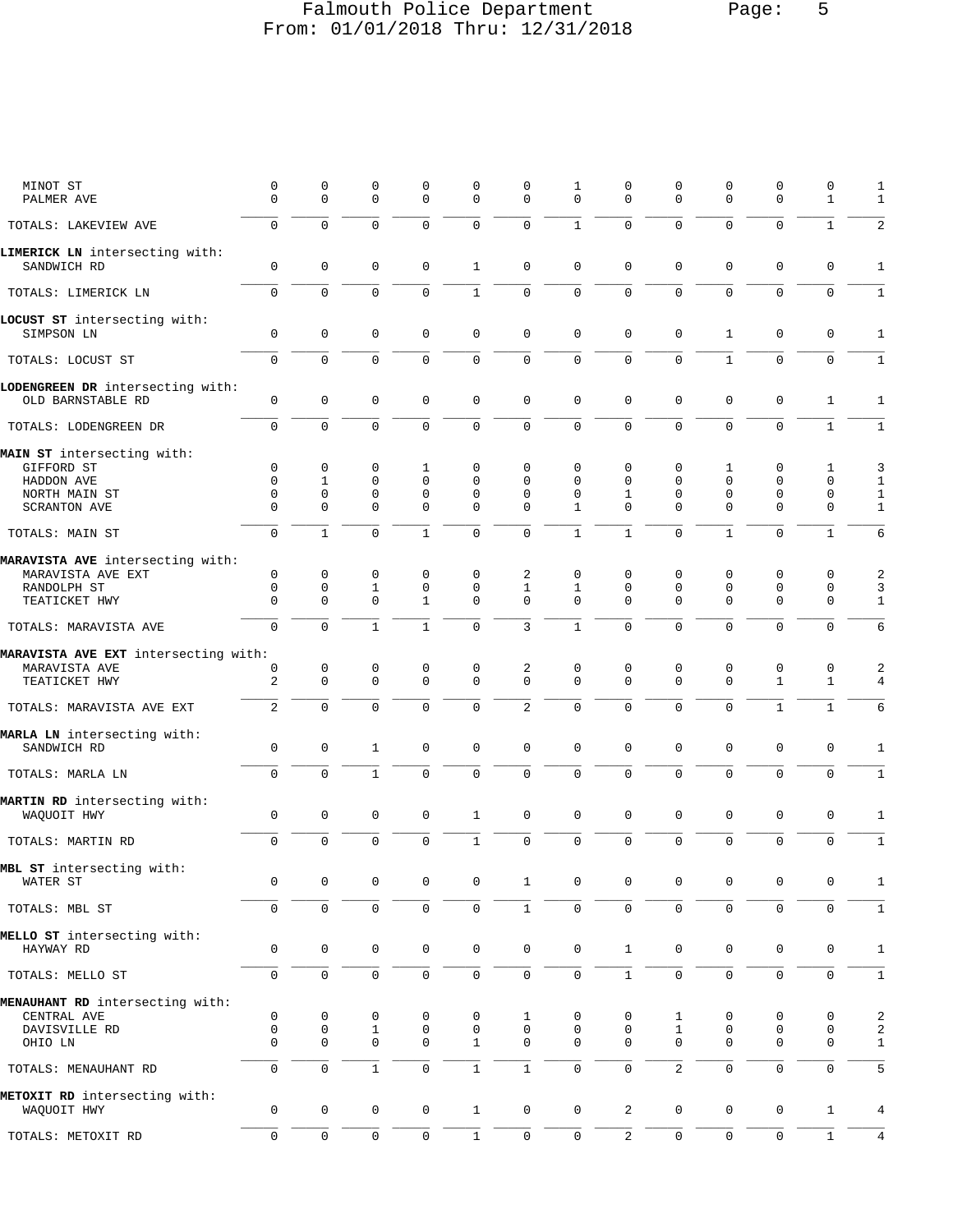# Falmouth Police Department Page: 5 From: 01/01/2018 Thru: 12/31/2018

| MINOT ST<br>PALMER AVE                                | $\mathbf 0$<br>$\Omega$ | 0<br>$\Omega$       | 0<br>$\mathbf 0$ | 0<br>$\Omega$       | 0<br>$\Omega$       | 0<br>$\Omega$       | 1<br>$\Omega$       | $\Omega$<br>$\Omega$ | 0<br>$\Omega$       | $\mathbf 0$<br>$\Omega$ | $\mathbf 0$<br>$\Omega$ | 0<br>$\mathbf{1}$ | 1<br>1         |
|-------------------------------------------------------|-------------------------|---------------------|------------------|---------------------|---------------------|---------------------|---------------------|----------------------|---------------------|-------------------------|-------------------------|-------------------|----------------|
| TOTALS: LAKEVIEW AVE                                  | $\Omega$                | $\Omega$            | $\Omega$         | $\Omega$            | $\Omega$            | $\Omega$            | $\mathbf{1}$        | $\Omega$             | $\Omega$            | $\Omega$                | $\Omega$                | $\mathbf{1}$      | $\overline{2}$ |
| LIMERICK LN intersecting with:<br>SANDWICH RD         | $\mathbf 0$             | 0                   | $\mathbf 0$      | $\mathbf 0$         | 1                   | 0                   | $\mathbf 0$         | $\mathbf 0$          | $\mathbf 0$         | $\mathbf 0$             | $\mathbf 0$             | 0                 | $\mathbf{1}$   |
| TOTALS: LIMERICK LN                                   | $\mathbf 0$             | $\Omega$            | $\mathbf 0$      | $\Omega$            | $\mathbf{1}$        | $\mathbf 0$         | $\mathbf 0$         | $\Omega$             | $\Omega$            | $\Omega$                | $\Omega$                | $\mathbf 0$       | $\mathbf{1}$   |
| LOCUST ST intersecting with:<br>SIMPSON LN            | $\Omega$                | 0                   | $\mathbf 0$      | $\Omega$            | 0                   | $\mathbf 0$         | $\mathbf 0$         | $\Omega$             | $\mathbf 0$         | $\mathbf{1}$            | $\mathbf 0$             | $\mathbf 0$       | $\mathbf{1}$   |
| TOTALS: LOCUST ST                                     | 0                       | $\Omega$            | $\mathbf 0$      | $\Omega$            | 0                   | $\mathsf 0$         | $\mathbf 0$         | $\Omega$             | $\mathbf 0$         | $\mathbf{1}$            | $\mathbf 0$             | $\mathbf 0$       | $\mathbf{1}$   |
| LODENGREEN DR intersecting with:<br>OLD BARNSTABLE RD | $\mathbf 0$             | $\mathbf 0$         | $\mathbf 0$      | $\mathbf 0$         | 0                   | $\mathbf 0$         | $\mathbf 0$         | $\mathbf 0$          | $\mathbf 0$         | $\mathbf{0}$            | $\mathbf 0$             | $\mathbf{1}$      | 1              |
| TOTALS: LODENGREEN DR                                 | $\Omega$                | $\Omega$            | $\Omega$         | $\Omega$            | $\Omega$            | $\Omega$            | $\Omega$            | $\Omega$             | $\Omega$            | $\Omega$                | $\Omega$                | $\mathbf{1}$      | $\mathbf{1}$   |
| MAIN ST intersecting with:                            |                         |                     |                  |                     |                     |                     |                     |                      |                     |                         |                         |                   |                |
| GIFFORD ST                                            | $\mathbf 0$             | $\mathbf 0$         | $\mathbf 0$      | 1                   | 0                   | 0                   | $\Omega$            | $\mathbf 0$          | 0                   | 1                       | $\mathbf 0$             | 1                 | 3              |
|                                                       |                         |                     |                  |                     |                     |                     |                     |                      |                     |                         |                         |                   |                |
| HADDON AVE                                            | $\Omega$                | $\mathbf{1}$        | $\mathbf 0$      | $\Omega$            | $\Omega$            | $\Omega$            | $\Omega$            | $\Omega$             | $\Omega$            | $\mathbf 0$             | $\Omega$                | $\mathbf 0$       | $\mathbf{1}$   |
| NORTH MAIN ST                                         | $\Omega$                | $\Omega$            | $\mathbf 0$      | $\mathbf 0$         | $\Omega$            | $\Omega$            | $\Omega$            | $\mathbf{1}$         | $\Omega$            | $\mathbf 0$             | $\mathbf 0$             | $\mathbf 0$       | $\mathbf{1}$   |
| SCRANTON AVE                                          | $\Omega$                | $\Omega$            | $\Omega$         | $\Omega$            | $\Omega$            | $\Omega$            | $\mathbf{1}$        | $\Omega$             | $\Omega$            | $\Omega$                | $\Omega$                | $\mathbf 0$       | $\mathbf{1}$   |
|                                                       |                         |                     |                  |                     |                     |                     |                     |                      |                     |                         |                         |                   |                |
| TOTALS: MAIN ST                                       | $\Omega$                | $\mathbf{1}$        | $\Omega$         | $\mathbf{1}$        | $\Omega$            | $\Omega$            | $\mathbf{1}$        | $\mathbf{1}$         | $\Omega$            | $\mathbf{1}$            | $\Omega$                | $\mathbf{1}$      | 6              |
| MARAVISTA AVE intersecting with:                      |                         |                     |                  |                     |                     |                     |                     |                      |                     |                         |                         |                   |                |
| MARAVISTA AVE EXT                                     | $\mathbf 0$             | $\mathbf 0$         | 0                | 0                   | 0                   | 2                   | $\mathbf 0$         | $\mathbf 0$          | 0                   | 0                       | 0                       | 0                 | 2              |
| RANDOLPH ST                                           | $\mathbf 0$             | $\mathbf 0$         | $\mathbf{1}$     | $\mathbf 0$         | 0                   | $\mathbf{1}$        | $\mathbf{1}$        | $\Omega$             | $\mathbf 0$         | $\mathbf 0$             | $\mathbf 0$             | $\mathbf 0$       | 3              |
| TEATICKET HWY                                         | $\Omega$                | $\Omega$            | $\Omega$         | $\mathbf{1}$        | $\Omega$            | $\Omega$            | $\Omega$            | $\Omega$             | $\Omega$            | $\Omega$                | $\Omega$                | $\mathbf 0$       | $\mathbf{1}$   |
|                                                       |                         |                     |                  |                     |                     |                     |                     |                      |                     |                         |                         |                   |                |
| TOTALS: MARAVISTA AVE                                 | $\mathbf 0$             | $\Omega$            | $\mathbf{1}$     | $\mathbf{1}$        | $\Omega$            | 3                   | $\mathbf{1}$        | $\Omega$             | $\Omega$            | $\Omega$                | $\Omega$                | $\Omega$          | 6              |
| MARAVISTA AVE EXT intersecting with:                  |                         |                     |                  |                     |                     |                     |                     |                      |                     |                         |                         |                   |                |
| MARAVISTA AVE                                         | 0                       | 0                   | 0                | 0                   | 0                   | 2                   | $\mathbf 0$         | $\mathbf 0$          | 0                   | 0                       | 0                       | 0                 | 2              |
| TEATICKET HWY                                         | $\overline{a}$          | $\mathbf 0$         | $\Omega$         | $\Omega$            | $\Omega$            | $\Omega$            | $\Omega$            | $\Omega$             | $\Omega$            | $\Omega$                | $\mathbf{1}$            | $\mathbf{1}$      | 4              |
|                                                       | $\overline{2}$          | $\Omega$            | $\Omega$         | $\Omega$            | $\Omega$            | $\overline{c}$      | $\Omega$            | $\Omega$             | $\Omega$            | $\Omega$                | $\mathbf{1}$            | $\mathbf{1}$      | 6              |
| TOTALS: MARAVISTA AVE EXT                             |                         |                     |                  |                     |                     |                     |                     |                      |                     |                         |                         |                   |                |
| MARLA LN intersecting with:<br>SANDWICH RD            | $\mathbf 0$             | $\mathsf 0$         | $\mathbf{1}$     | $\mathbf 0$         | 0                   | $\mathbf 0$         | $\mathbf 0$         | $\mathbf 0$          | $\mathbf 0$         | $\mathbf 0$             | $\mathbf 0$             | $\mathbf 0$       | 1              |
| TOTALS: MARLA LN                                      | $\Omega$                | $\Omega$            | $\mathbf{1}$     | $\Omega$            | 0                   | $\mathbf 0$         | $\mathbf 0$         | $\Omega$             | $\mathbf 0$         | $\Omega$                | $\Omega$                | $\mathbf 0$       | $\mathbf{1}$   |
|                                                       |                         |                     |                  |                     |                     |                     |                     |                      |                     |                         |                         |                   |                |
| MARTIN RD intersecting with:<br>WAQUOIT HWY           | $\mathbf 0$             | 0                   | $\mathbf 0$      | $\mathbf 0$         | 1                   | $\mathbf 0$         | $\mathbf 0$         | $\mathbf 0$          | $\mathbf 0$         | $\mathbf 0$             | $\mathbf 0$             | $\mathbf 0$       | 1              |
| TOTALS: MARTIN RD                                     | 0                       | $\Omega$            | $\Omega$         | $\Omega$            | $\mathbf{1}$        | $\mathbf 0$         | $\mathbf 0$         | 0                    | $\mathbf 0$         | $\mathbf 0$             | $\mathbf 0$             | $\mathbf 0$       | $\mathbf{1}$   |
|                                                       |                         |                     |                  |                     |                     |                     |                     |                      |                     |                         |                         |                   |                |
| MBL ST intersecting with:<br>WATER ST                 | 0                       | 0                   | $\mathsf 0$      | 0                   | 0                   | 1                   | 0                   | 0                    | 0                   | 0                       | $\mathbf 0$             | 0                 | 1              |
| TOTALS: MBL ST                                        | 0                       | 0                   | $\mathsf 0$      | 0                   | 0                   | $\mathbf{1}$        | $\mathsf{O}\xspace$ | $\mathsf 0$          | 0                   | $\mathbf 0$             | $\mathbf 0$             | $\mathbf 0$       | $\mathbf{1}$   |
|                                                       |                         |                     |                  |                     |                     |                     |                     |                      |                     |                         |                         |                   |                |
| MELLO ST intersecting with:<br>HAYWAY RD              | $\mathsf 0$             | $\mathsf 0$         | $\mathsf 0$      | $\mathbf 0$         | $\mathsf{O}\xspace$ | 0                   | $\mathbf 0$         | $\mathbf{1}$         | $\mathbf 0$         | $\mathsf{O}\xspace$     | $\mathbf 0$             | 0                 | $\mathbf{1}$   |
| TOTALS: MELLO ST                                      | $\mathsf{O}\xspace$     | 0                   | $\mathsf 0$      | 0                   | $\mathsf 0$         | 0                   | $\mathsf 0$         | $\mathbf{1}$         | $\mathsf 0$         | $\mathsf 0$             | $\mathsf 0$             | 0                 | $\mathbf 1$    |
|                                                       |                         |                     |                  |                     |                     |                     |                     |                      |                     |                         |                         |                   |                |
| MENAUHANT RD intersecting with:                       |                         |                     |                  |                     |                     |                     |                     |                      |                     |                         |                         |                   |                |
| CENTRAL AVE                                           | 0                       | 0                   | 0                | 0                   | 0                   | 1                   | 0                   | 0                    | 1                   | 0                       | 0                       | 0                 | 2              |
| DAVISVILLE RD                                         | $\mathsf{O}\xspace$     | $\mathsf{O}\xspace$ | $\mathbf{1}$     | 0                   | $\mathbf 0$         | 0                   | $\mathsf{O}\xspace$ | $\mathbf 0$          | $\mathbf{1}$        | 0                       | 0                       | $\mathbf 0$       | $\sqrt{2}$     |
| OHIO LN                                               | $\mathbf 0$             | 0                   | $\mathbf 0$      | $\mathbf 0$         | $\mathbf{1}$        | 0                   | $\mathbf 0$         | $\mathbf 0$          | $\mathbf 0$         | $\mathbf 0$             | $\mathbf 0$             | 0                 | $\mathbf{1}$   |
| TOTALS: MENAUHANT RD                                  | 0                       | 0                   | $\mathbf{1}$     | $\mathsf 0$         | $\mathbf 1$         | $\mathbf{1}$        | $\mathsf 0$         | $\mathbf{0}$         | $\overline{2}$      | $\mathsf{O}\xspace$     | $\mathsf 0$             | 0                 | 5              |
| METOXIT RD intersecting with:                         |                         |                     |                  |                     |                     |                     |                     |                      |                     |                         |                         |                   |                |
| WAQUOIT HWY                                           | $\mathbf 0$             | 0                   | 0                | $\mathsf{O}\xspace$ | $\mathbf{1}$        | 0                   | $\mathsf{O}\xspace$ | $\overline{a}$       | 0                   | 0                       | $\mathbf 0$             | $\mathbf{1}$      | $\,4$          |
| TOTALS: METOXIT RD                                    | 0                       | $\mathsf 0$         | $\mathsf 0$      | $\mathsf{O}\xspace$ | $\mathbf 1$         | $\mathsf{O}\xspace$ | $\mathsf{O}\xspace$ | $\overline{c}$       | $\mathsf{O}\xspace$ | $\mathsf{O}\xspace$     | $\mathsf 0$             | $1\,$             | $\overline{4}$ |
|                                                       |                         |                     |                  |                     |                     |                     |                     |                      |                     |                         |                         |                   |                |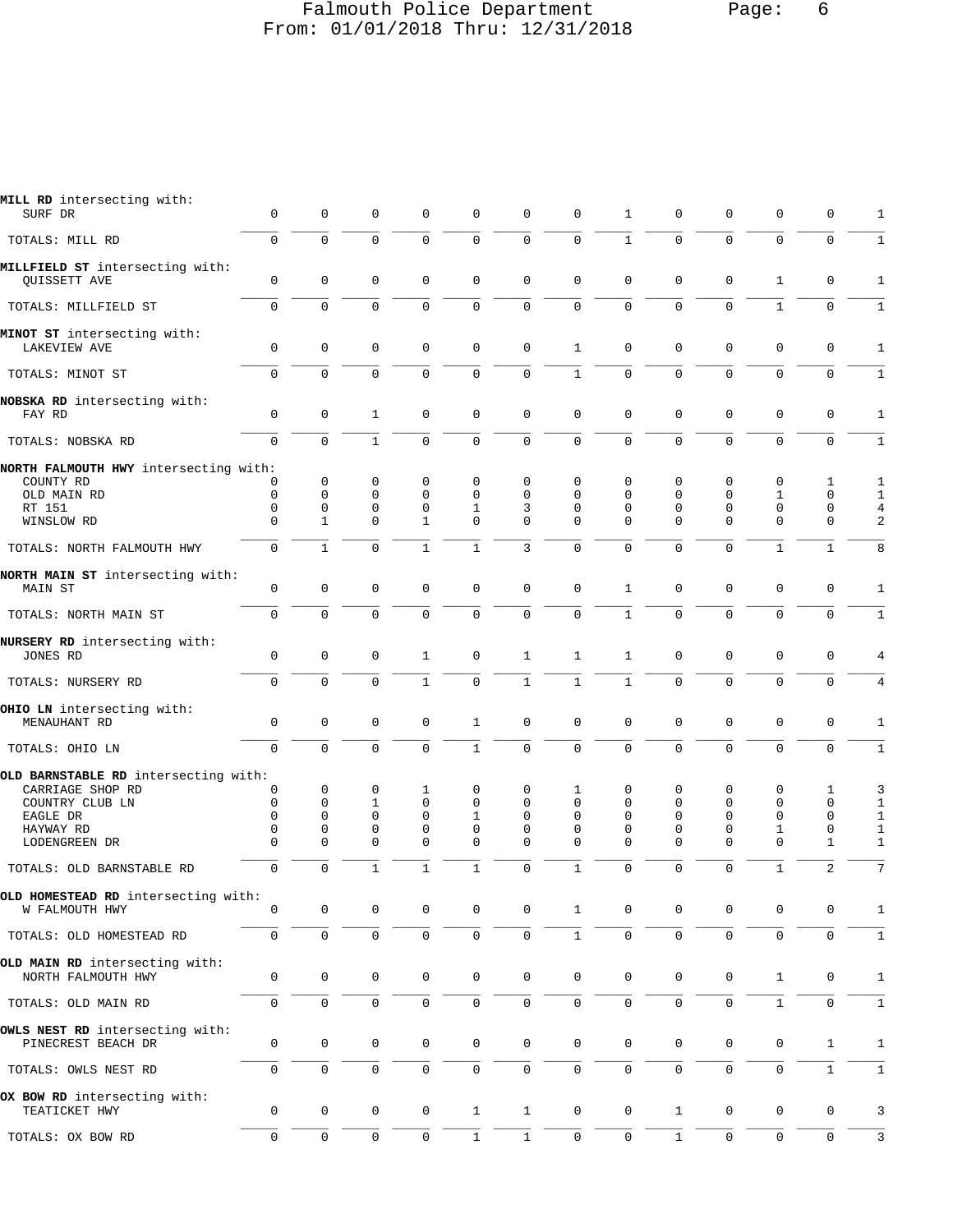### Falmouth Police Department Page: 6 From: 01/01/2018 Thru: 12/31/2018

| MILL RD intersecting with:<br>SURF DR                  | 0                   | 0                   | 0            | 0                   | 0            | 0            | $\mathbf 0$         | 1                   | 0            | 0                   | $\mathbf 0$         | 0                   | 1            |
|--------------------------------------------------------|---------------------|---------------------|--------------|---------------------|--------------|--------------|---------------------|---------------------|--------------|---------------------|---------------------|---------------------|--------------|
| TOTALS: MILL RD                                        | $\mathbf 0$         | 0                   | 0            | $\mathbf 0$         | 0            | $\mathbf 0$  | $\mathbf 0$         | $\mathbf{1}$        | $\mathbf 0$  | $\mathbf 0$         | $\mathbf 0$         | $\mathbf 0$         | $\mathbf{1}$ |
| MILLFIELD ST intersecting with:<br><b>OUISSETT AVE</b> | $\mathbf 0$         | $\mathbf 0$         | $\mathbf 0$  | $\mathbf 0$         | 0            | $\mathbf 0$  | $\mathbf 0$         | $\mathbf 0$         | 0            | $\mathbf 0$         | $\mathbf{1}$        | $\mathbf 0$         | $\mathbf{1}$ |
| TOTALS: MILLFIELD ST                                   | $\mathsf{O}\xspace$ | 0                   | $\mathbf 0$  | 0                   | 0            | 0            | $\mathsf 0$         | 0                   | $\mathbf 0$  | $\mathbf 0$         | $\mathbf{1}$        | $\mathbf 0$         | $1\,$        |
| MINOT ST intersecting with:<br>LAKEVIEW AVE            | $\mathbf 0$         | 0                   | $\mathbf 0$  | $\mathbf 0$         | 0            | $\mathbf 0$  | $\mathbf{1}$        | $\mathbf 0$         | 0            | $\mathbf 0$         | $\mathbf 0$         | 0                   | 1            |
| TOTALS: MINOT ST                                       | $\mathbf 0$         | 0                   | $\mathbf 0$  | $\mathbf 0$         | 0            | $\mathbf 0$  | $\mathbf{1}$        | 0                   | $\mathbf 0$  | $\mathbf 0$         | $\mathbf 0$         | $\mathbf 0$         | $\mathbf{1}$ |
| NOBSKA RD intersecting with:<br>FAY RD                 | 0                   | $\mathbf 0$         | 1            | $\mathbf 0$         | 0            | 0            | 0                   | 0                   | 0            | 0                   | 0                   | 0                   | 1            |
| TOTALS: NOBSKA RD                                      | $\mathbf 0$         | $\Omega$            | $\mathbf{1}$ | $\mathbf 0$         | 0            | $\mathbf 0$  | $\mathbf 0$         | $\Omega$            | $\Omega$     | $\mathbf 0$         | $\mathbf 0$         | $\mathbf 0$         | $\mathbf{1}$ |
| NORTH FALMOUTH HWY intersecting with:<br>COUNTY RD     | 0                   | $\mathbf 0$         | 0            | $\mathbf 0$         | 0            | 0            | $\Omega$            | $\Omega$            | 0            | $\mathbf 0$         | 0                   |                     |              |
|                                                        |                     |                     |              |                     |              |              |                     |                     |              |                     |                     | 1                   | 1            |
| OLD MAIN RD                                            | $\mathbf 0$         | $\mathbf 0$         | 0            | $\mathbf 0$         | 0            | 0            | $\mathbf 0$         | $\mathbf 0$         | $\mathbf 0$  | $\mathbf 0$         | $\mathbf{1}$        | $\mathbf 0$         | 1            |
| RT 151                                                 | 0                   | 0                   | 0            | 0                   | 1            | 3            | $\mathbf 0$         | 0                   | 0            | 0                   | 0                   | 0                   | 4            |
| WINSLOW RD                                             | $\mathbf 0$         | $\mathbf{1}$        | $\Omega$     | $\mathbf{1}$        | 0            | $\mathbf 0$  | $\Omega$            | $\Omega$            | $\Omega$     | $\Omega$            | $\mathbf 0$         | $\mathsf 0$         | 2            |
| TOTALS: NORTH FALMOUTH HWY                             | $\mathbf 0$         | $\mathbf{1}$        | 0            | $\mathbf{1}$        | $\mathbf 1$  | 3            | $\mathbf 0$         | $\Omega$            | $\mathbf 0$  | $\mathbf 0$         | $1\,$               | $\mathbf{1}$        | 8            |
| NORTH MAIN ST intersecting with:                       |                     |                     |              |                     |              |              |                     |                     |              |                     |                     |                     |              |
| MAIN ST                                                | $\mathbf 0$         | $\mathbf 0$         | $\mathbf 0$  | $\mathbf 0$         | 0            | 0            | $\mathbf 0$         | $\mathbf{1}$        | $\mathbf 0$  | $\mathbf 0$         | $\mathbf 0$         | $\mathbf 0$         | 1            |
| TOTALS: NORTH MAIN ST                                  | $\mathsf{O}\xspace$ | 0                   | 0            | $\mathbf 0$         | 0            | $\mathbf 0$  | $\mathsf 0$         | $\mathbf{1}$        | 0            | $\mathbf 0$         | $\mathbf 0$         | $\mathbf 0$         | $\mathbf{1}$ |
|                                                        |                     |                     |              |                     |              |              |                     |                     |              |                     |                     |                     |              |
| NURSERY RD intersecting with:<br>JONES RD              | $\mathbf 0$         | 0                   | $\mathsf 0$  | 1                   | 0            | $\mathbf{1}$ | 1                   | 1                   | $\mathbf 0$  | $\mathbf 0$         | $\mathbf 0$         | 0                   |              |
| TOTALS: NURSERY RD                                     | $\mathbf 0$         | $\Omega$            | $\mathbf 0$  | $\mathbf{1}$        | 0            | $\mathbf{1}$ | $\mathbf{1}$        | $\mathbf{1}$        | $\mathbf 0$  | $\mathbf 0$         | $\mathbf 0$         | $\mathbf 0$         | 4            |
|                                                        |                     |                     |              |                     |              |              |                     |                     |              |                     |                     |                     |              |
| OHIO LN intersecting with:<br>MENAUHANT RD             | $\mathbf 0$         | 0                   | 0            | $\mathbf 0$         | 1            | 0            | $\mathbf 0$         | $\mathbf 0$         | 0            | 0                   | 0                   | 0                   | 1            |
| TOTALS: OHIO LN                                        | $\mathbf 0$         | 0                   | $\mathbf 0$  | 0                   | $\mathbf{1}$ | $\mathbf 0$  | $\mathsf{O}\xspace$ | $\mathbf 0$         | $\mathbf 0$  | $\mathbf 0$         | $\mathbf 0$         | $\mathbf 0$         | $\mathbf{1}$ |
| OLD BARNSTABLE RD intersecting with:                   |                     |                     |              |                     |              |              |                     |                     |              |                     |                     |                     |              |
| CARRIAGE SHOP RD                                       | 0                   | $\mathbf 0$         | 0            | 1                   | 0            | 0            | 1                   | 0                   | 0            | $\mathbf 0$         | 0                   | 1                   | 3            |
| COUNTRY CLUB LN                                        | 0                   | 0                   | 1            | $\mathbf 0$         | 0            | 0            | $\mathbf 0$         | 0                   | 0            | $\mathbf 0$         | $\mathbf 0$         | 0                   | $\mathbf{1}$ |
| EAGLE DR                                               | 0                   | 0                   | 0            | $\mathbf 0$         | 1            | 0            | $\mathbf 0$         | $\Omega$            | 0            | $\mathbf 0$         | $\mathbf 0$         | 0                   | $\mathbf{1}$ |
| HAYWAY RD                                              | 0                   | 0                   | 0            | $\mathbf 0$         | 0            | 0            | $\mathbf 0$         | 0                   | 0            | $\mathbf 0$         | $\mathbf{1}$        | $\mathbf 0$         | $\mathbf{1}$ |
| LODENGREEN DR                                          | $\Omega$            | $\Omega$            | 0            | $\Omega$            | 0            | 0            | $\Omega$            | $\Omega$            | $\Omega$     | $\mathbf 0$         | $\mathbf 0$         | 1                   | $\mathbf{1}$ |
| TOTALS: OLD BARNSTABLE RD                              | 0                   | 0                   | $\mathbf{1}$ | $\mathbf{1}$        | $\mathbf{1}$ | $\mathbf 0$  | $\mathbf{1}$        | $\Omega$            | $\mathbf 0$  | $\mathbf 0$         | $\mathbf{1}$        | $\overline{2}$      | 7            |
|                                                        |                     |                     |              |                     |              |              |                     |                     |              |                     |                     |                     |              |
| OLD HOMESTEAD RD intersecting with:<br>W FALMOUTH HWY  | 0                   | 0                   | 0            | 0                   | 0            | 0            | 1                   | $\Omega$            | 0            | 0                   | 0                   | 0                   | 1            |
| TOTALS: OLD HOMESTEAD RD                               | $\mathbf 0$         | $\mathbf 0$         | $\mathsf 0$  | $\mathbf 0$         | 0            | 0            | $\mathbf{1}$        | $\mathbf 0$         | $\mathbf 0$  | $\mathsf{O}\xspace$ | $\mathsf{O}\xspace$ | $\mathsf{O}\xspace$ | $\mathbf{1}$ |
|                                                        |                     |                     |              |                     |              |              |                     |                     |              |                     |                     |                     |              |
| OLD MAIN RD intersecting with:<br>NORTH FALMOUTH HWY   | 0                   | 0                   | $\mathsf 0$  | 0                   | 0            | $\mathsf 0$  | $\mathbf 0$         | $\mathbf 0$         | 0            | $\mathbf 0$         | 1                   | 0                   | 1            |
|                                                        |                     |                     |              |                     |              |              |                     |                     |              |                     |                     |                     |              |
| TOTALS: OLD MAIN RD                                    | $\mathbf 0$         | 0                   | $\mathsf 0$  | $\mathbf 0$         | 0            | 0            | $\mathsf 0$         | 0                   | 0            | $\mathsf{O}\xspace$ | $\mathbf{1}$        | $\mathbf 0$         | $\mathbf{1}$ |
| OWLS NEST RD intersecting with:<br>PINECREST BEACH DR  | 0                   | $\mathsf{O}\xspace$ | $\mathsf 0$  | $\mathsf{O}\xspace$ | 0            | 0            | $\mathbf 0$         | 0                   | 0            | 0                   | $\mathbf 0$         | $\mathbf{1}$        | 1            |
| TOTALS: OWLS NEST RD                                   | 0                   | 0                   | $\mathsf 0$  | 0                   | 0            | $\mathsf 0$  | $\mathsf 0$         | 0                   | $\mathbf 0$  | $\mathsf{O}\xspace$ | $\mathsf 0$         | $\mathbf{1}$        | $\mathbf{1}$ |
| OX BOW RD intersecting with:                           |                     |                     |              |                     |              |              |                     |                     |              |                     |                     |                     |              |
| TEATICKET HWY                                          | 0                   | $\mathsf{O}\xspace$ | $\mathsf 0$  | $\mathsf{O}\xspace$ | $\mathbf{1}$ | $\mathbf{1}$ | $\mathsf{O}\xspace$ | $\mathbf 0$         | $\mathbf{1}$ | 0                   | 0                   | 0                   | 3            |
| TOTALS: OX BOW RD                                      | 0                   | 0                   | $\mathsf 0$  | 0                   | $\,1$        | $\mathbf 1$  | $\mathsf{O}\xspace$ | $\mathsf{O}\xspace$ | $\mathbf{1}$ | $\mathbb O$         | $\mathsf{O}\xspace$ | $\mathsf{O}\xspace$ | 3            |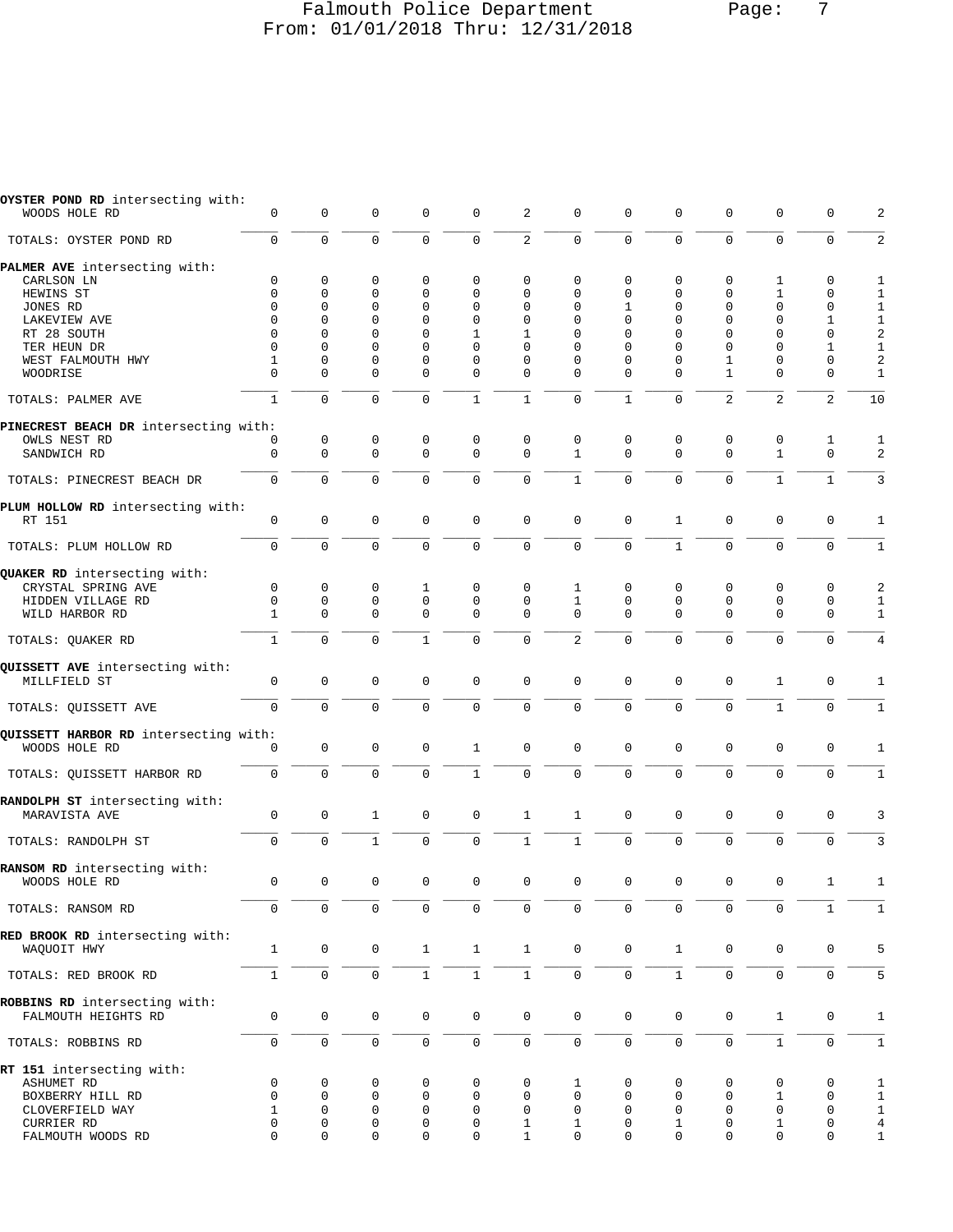### Falmouth Police Department Page: 7 From: 01/01/2018 Thru: 12/31/2018

| OYSTER POND RD intersecting with:     |                     |              |              |                |              |              | $\mathbf 0$         |              |              |                |              |              |                |
|---------------------------------------|---------------------|--------------|--------------|----------------|--------------|--------------|---------------------|--------------|--------------|----------------|--------------|--------------|----------------|
| WOODS HOLE RD                         | $\mathbf 0$         | $\mathbf 0$  | $\mathbf 0$  | 0              | $\mathsf 0$  | 2            |                     | 0            | $\mathbf 0$  | $\mathbf 0$    | $\mathbf 0$  | $\mathbf 0$  | 2              |
| TOTALS: OYSTER POND RD                | $\mathbf 0$         | $\mathbf 0$  | $\mathbf 0$  | 0              | $\mathsf 0$  | $\sqrt{2}$   | $\mathbf 0$         | 0            | $\mathbf 0$  | $\mathbf 0$    | $\mathbf 0$  | $\mathbf 0$  | $\sqrt{2}$     |
| PALMER AVE intersecting with:         |                     |              |              |                |              |              |                     |              |              |                |              |              |                |
| CARLSON LN                            | 0                   | 0            | 0            | 0              | 0            | 0            | $\mathbf 0$         | 0            | 0            | 0              | 1            | 0            | 1              |
| HEWINS ST                             | $\Omega$            | 0            | 0            | 0              | 0            | 0            | $\Omega$            | 0            | 0            | 0              | 1            | 0            | 1              |
| JONES RD                              | $\Omega$            | 0            | 0            | 0              | 0            | 0            | $\Omega$            | 1            | $\Omega$     | 0              | $\mathbf{0}$ | 0            | $\mathbf{1}$   |
| LAKEVIEW AVE                          | 0                   | 0            | 0            | 0              | 0            | 0            | $\mathbf 0$         | 0            | 0            | 0              | $\mathbf 0$  | 1            | $\mathbf{1}$   |
| RT 28 SOUTH                           | $\Omega$            | 0            | $\Omega$     | $\Omega$       | 1            | 1            | $\Omega$            | $\Omega$     | $\Omega$     | $\Omega$       | $\Omega$     | $\Omega$     | $\sqrt{2}$     |
| TER HEUN DR                           | $\Omega$            | 0            | $\Omega$     | $\Omega$       | $\Omega$     | $\Omega$     | $\Omega$            | 0            | $\Omega$     | $\mathbf 0$    | $\Omega$     | $\mathbf{1}$ | $\mathbf{1}$   |
| WEST FALMOUTH HWY                     | 1                   | 0            | 0            | 0              | 0            | 0            | $\mathbf 0$         | 0            | 0            | 1              | 0            | 0            | $\overline{a}$ |
| WOODRISE                              | 0                   | 0            | 0            | 0              | 0            | 0            | $\Omega$            | $\Omega$     | $\Omega$     | 1              | 0            | 0            | $\mathbf{1}$   |
| TOTALS: PALMER AVE                    | $\mathbf{1}$        | 0            | $\mathbf 0$  | 0              | $\mathbf{1}$ | $\mathbf{1}$ | $\mathbf 0$         | $\mathbf{1}$ | 0            | $\overline{2}$ | 2            | 2            | 10             |
| PINECREST BEACH DR intersecting with: |                     |              |              |                |              |              |                     |              |              |                |              |              |                |
| OWLS NEST RD                          | 0                   | $\mathbf 0$  | 0            | 0              | $\mathsf 0$  | $\mathbf 0$  | 0                   | 0            | 0            | $\mathsf 0$    | 0            | 1            | 1              |
| SANDWICH RD                           | 0                   | $\mathbf 0$  | $\Omega$     | $\mathbf 0$    | 0            | $\mathbf 0$  | 1                   | $\Omega$     | $\Omega$     | $\mathbf 0$    | $\mathbf{1}$ | $\mathbf 0$  | 2              |
| TOTALS: PINECREST BEACH DR            | $\mathbf 0$         | $\mathbf 0$  | $\mathbf 0$  | 0              | $\mathbf 0$  | $\mathbf 0$  | $\mathbf{1}$        | 0            | $\mathbf 0$  | $\mathbf 0$    | $\mathbf{1}$ | $\mathbf{1}$ | 3              |
| PLUM HOLLOW RD intersecting with:     |                     |              |              |                |              |              |                     |              |              |                |              |              |                |
| RT 151                                | $\mathbf 0$         | $\mathbf 0$  | $\mathbf 0$  | 0              | 0            | $\mathbf 0$  | $\mathbf 0$         | 0            | $\mathbf{1}$ | $\mathbf 0$    | $\mathbf 0$  | 0            | 1              |
| TOTALS: PLUM HOLLOW RD                | $\mathbf 0$         | $\mathbf{0}$ | $\Omega$     | $\overline{0}$ | $\mathbf 0$  | $\mathbf 0$  | $\Omega$            | $\Omega$     | $\mathbf{1}$ | $\mathbf 0$    | $\mathbf 0$  | $\mathbf 0$  | $\mathbf{1}$   |
| QUAKER RD intersecting with:          |                     |              |              |                |              |              |                     |              |              |                |              |              |                |
| CRYSTAL SPRING AVE                    | $\mathbf 0$         | 0            | 0            | 1              | 0            | 0            | 1                   | 0            | 0            | 0              | 0            | 0            | $\sqrt{2}$     |
| HIDDEN VILLAGE RD                     | $\mathbf 0$         | $\mathbf 0$  | $\mathbf 0$  | $\mathbf 0$    | $\mathbf 0$  | $\mathbf 0$  | $\mathbf{1}$        | $\mathbf 0$  | $\mathbf 0$  | $\mathbf 0$    | $\mathbf 0$  | $\mathbf 0$  | $\mathbf{1}$   |
| WILD HARBOR RD                        | 1                   | 0            | $\mathbf 0$  | $\mathbf 0$    | 0            | $\mathbf 0$  | $\Omega$            | 0            | $\Omega$     | $\mathbf 0$    | 0            | 0            | $\mathbf{1}$   |
| TOTALS: QUAKER RD                     | $\mathbf{1}$        | $\Omega$     | $\Omega$     | $\mathbf{1}$   | $\mathbf 0$  | $\mathbf 0$  | 2                   | $\Omega$     | $\Omega$     | $\mathbf 0$    | $\mathbf{0}$ | $\mathbf 0$  | $\,4$          |
| QUISSETT AVE intersecting with:       |                     |              |              |                |              |              |                     |              |              |                |              |              |                |
| MILLFIELD ST                          | $\mathsf{O}\xspace$ | $\mathsf 0$  | $\mathbf 0$  | 0              | $\mathsf 0$  | $\mathbf 0$  | $\mathbf 0$         | 0            | $\mathbf 0$  | $\mathbf 0$    | 1            | 0            | 1              |
| TOTALS: QUISSETT AVE                  | $\mathbf 0$         | $\mathbf 0$  | $\mathbf 0$  | $\mathbf 0$    | 0            | $\mathsf 0$  | $\mathbf 0$         | 0            | 0            | $\mathbf 0$    | $\mathbf{1}$ | $\mathbf 0$  | $\mathbf{1}$   |
| QUISSETT HARBOR RD intersecting with: |                     |              |              |                |              |              |                     |              |              |                |              |              |                |
| WOODS HOLE RD                         | 0                   | $\mathbf 0$  | $\mathbf 0$  | $\mathbf 0$    | $\mathbf{1}$ | $\mathbf 0$  | $\mathbf 0$         | $\mathbf 0$  | $\mathbf 0$  | $\mathbf 0$    | $\mathbf 0$  | $\mathbf 0$  | 1              |
|                                       |                     |              |              |                |              |              |                     |              |              |                |              |              |                |
| TOTALS: QUISSETT HARBOR RD            | $\mathbf 0$         | $\mathbf 0$  | $\mathbf 0$  | 0              | $1\,$        | $\mathsf 0$  | $\mathsf{O}\xspace$ | $\mathsf 0$  | $\mathsf 0$  | $\mathbf 0$    | $\mathbf{0}$ | $\mathbf 0$  | $\mathbf{1}$   |
| RANDOLPH ST intersecting with:        |                     |              |              |                |              |              |                     |              |              |                |              |              |                |
| MARAVISTA AVE                         | $\mathbf 0$         | $\mathbf 0$  | 1            | $\mathbf 0$    | $\mathsf 0$  | $\mathbf{1}$ | 1                   | $\mathsf 0$  | $\mathbf 0$  | $\mathbf 0$    | $\mathbf 0$  | 0            | 3              |
|                                       |                     |              |              |                |              |              |                     |              |              |                |              |              |                |
| TOTALS: RANDOLPH ST                   | $\mathbf 0$         | $\mathbf 0$  | $\mathbf{1}$ | $\Omega$       | $\mathbf 0$  | $\mathbf{1}$ | $\mathbf{1}$        | $\Omega$     | $\mathbf 0$  | $\mathbf 0$    | $\mathbf{0}$ | 0            | 3              |
| RANSOM RD intersecting with:          |                     |              |              |                |              |              |                     |              |              |                |              |              |                |
| WOODS HOLE RD                         | 0                   | 0            | 0            | 0              | $\Omega$     | 0            | $\Omega$            | 0            | 0            | 0              | 0            |              | 1              |
|                                       |                     |              |              |                |              |              |                     |              |              |                |              |              |                |
| TOTALS: RANSOM RD                     | $\mathbf 0$         | $\mathbf 0$  | $\mathbf 0$  | $\mathbf 0$    | $\mathbf 0$  | $\mathbf 0$  | $\mathbf 0$         | $\mathbf 0$  | $\mathbf 0$  | $\mathbf 0$    | $\mathbf{0}$ | $\mathbf{1}$ | $\mathbf{1}$   |
| RED BROOK RD intersecting with:       |                     |              |              |                |              |              |                     |              |              |                |              |              |                |
| WAQUOIT HWY                           | $\mathbf{1}$        | $\mathsf 0$  | $\mathbf 0$  | $\mathbf{1}$   | $\mathbf{1}$ | $\mathbf{1}$ | $\mathbf 0$         | 0            | $\mathbf{1}$ | $\mathbf 0$    | $\mathbf 0$  | $\mathbf 0$  | 5              |
| TOTALS: RED BROOK RD                  | $\mathbf{1}$        | $\mathbf 0$  | $\mathbf 0$  | $\mathbf{1}$   | $\mathbf{1}$ | $\mathbf{1}$ | $\mathbf 0$         | 0            | $\mathbf{1}$ | $\mathbf 0$    | $\mathbf 0$  | $\mathbf 0$  | 5              |
| ROBBINS RD intersecting with:         |                     |              |              |                |              |              |                     |              |              |                |              |              |                |
| FALMOUTH HEIGHTS RD                   | $\mathbf 0$         | $\mathbf 0$  | $\mathbf 0$  | $\mathbf 0$    | $\mathsf 0$  | $\mathbf 0$  | $\mathbf 0$         | $\mathsf 0$  | $\mathbf 0$  | $\mathbf 0$    | $\mathbf{1}$ | $\mathbf 0$  | 1              |
| TOTALS: ROBBINS RD                    | $\mathbf 0$         | $\mathbf 0$  | $\mathbf 0$  | 0              | $\mathbf 0$  | $\mathsf 0$  | $\mathbf 0$         | 0            | $\mathbf 0$  | $\mathbf 0$    | $\mathbf{1}$ | $\mathbf 0$  | $\mathbf{1}$   |
| RT 151 intersecting with:             |                     |              |              |                |              |              |                     |              |              |                |              |              |                |
| ASHUMET RD                            | 0                   | 0            | 0            | 0              | 0            | 0            | 1                   | 0            | 0            | 0              | 0            | 0            | 1              |
| BOXBERRY HILL RD                      | 0                   | 0            | 0            | 0              | 0            | 0            | $\mathbf 0$         | 0            | $\mathbf 0$  | $\mathbf 0$    | 1            | $\mathbf 0$  | $\mathbf{1}$   |
| CLOVERFIELD WAY                       | 1                   | 0            | 0            | 0              | 0            | $\mathbf 0$  | $\mathbf 0$         | 0            | 0            | 0              | 0            | 0            | $\mathbf{1}$   |
| CURRIER RD                            | 0                   | 0            | 0            | 0              | 0            | 1            | 1                   | 0            | 1            | 0              | 1            | 0            | 4              |
| FALMOUTH WOODS RD                     | $\Omega$            | $\Omega$     | $\mathbf 0$  | 0              | 0            | 1            | $\Omega$            | $\Omega$     | $\Omega$     | $\Omega$       | 0            | $\mathbf 0$  | $\mathbf{1}$   |
|                                       |                     |              |              |                |              |              |                     |              |              |                |              |              |                |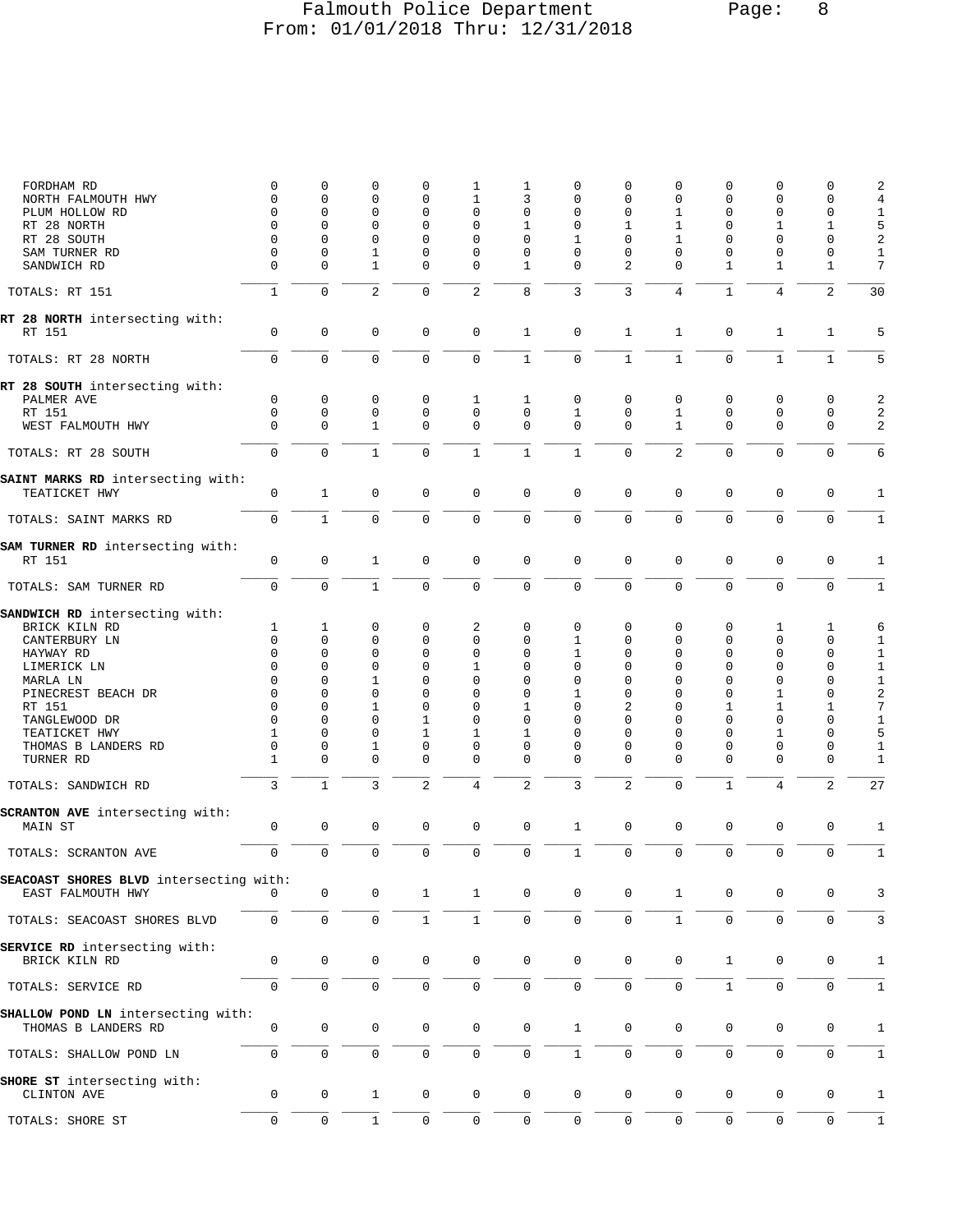## Falmouth Police Department Page: 8 From: 01/01/2018 Thru: 12/31/2018

| FORDHAM RD<br>NORTH FALMOUTH HWY<br>PLUM HOLLOW RD         | 0<br>$\mathbf 0$<br>0<br>$\Omega$ | 0<br>0<br>0<br>0             | 0<br>0<br>0<br>0       | $\mathbf 0$<br>$\mathbf 0$<br>$\mathbf 0$<br>$\mathbf 0$ | 1<br>1<br>0<br>0       | 1<br>3<br>0<br>$\mathbf{1}$      | 0<br>0<br>0<br>$\mathbf 0$ | $\mathbf 0$<br>$\mathbf 0$<br>0<br>1 | 0<br>0<br>1<br>1 | 0<br>$\mathbf 0$<br>$\mathbf 0$<br>0 | 0<br>0<br>0<br>1       | 0<br>0<br>0<br>1       | 2<br>$\,4$<br>$\mathbf{1}$<br>5 |
|------------------------------------------------------------|-----------------------------------|------------------------------|------------------------|----------------------------------------------------------|------------------------|----------------------------------|----------------------------|--------------------------------------|------------------|--------------------------------------|------------------------|------------------------|---------------------------------|
| RT 28 NORTH<br>RT 28 SOUTH<br>SAM TURNER RD<br>SANDWICH RD | 0<br>$\mathbf 0$<br>0             | $\Omega$<br>0<br>$\mathbf 0$ | 0<br>1<br>$\mathbf{1}$ | $\mathbf 0$<br>0<br>$\mathbf 0$                          | 0<br>0<br>$\mathbf{0}$ | $\mathbf 0$<br>0<br>$\mathbf{1}$ | 1<br>0<br>$\mathbf 0$      | $\mathbf 0$<br>0<br>2                | 1<br>0<br>0      | 0<br>$\mathbf 0$<br>$\mathbf{1}$     | 0<br>0<br>$\mathbf{1}$ | 0<br>0<br>$\mathbf{1}$ | 2<br>$\mathbf{1}$<br>7          |
| TOTALS: RT 151                                             | $\mathbf{1}$                      | $\mathbf 0$                  | $\overline{2}$         | $\mathbf 0$                                              | $\overline{2}$         | 8                                | $\overline{3}$             | $\overline{3}$                       | 4                | $\mathbf{1}$                         | $\overline{4}$         | $\overline{2}$         | 30                              |
| RT 28 NORTH intersecting with:                             |                                   |                              |                        |                                                          |                        |                                  |                            |                                      |                  |                                      |                        |                        |                                 |
| RT 151                                                     | 0                                 | $\mathsf 0$                  | $\mathbf 0$            | $\mathbf 0$                                              | $\mathsf 0$            | $\mathbf{1}$                     | $\mathsf 0$                | 1                                    | 1                | 0                                    | $\mathbf{1}$           | 1                      | 5                               |
| TOTALS: RT 28 NORTH                                        | $\mathbf 0$                       | $\mathbf 0$                  | $\mathsf 0$            | $\mathsf{O}\xspace$                                      | $\mathbf 0$            | $\mathbf 1$                      | $\mathsf 0$                | $\mathbf{1}$                         | $\mathbf{1}$     | $\mathbf 0$                          | $1\,$                  | $\mathbf{1}$           | 5                               |
| RT 28 SOUTH intersecting with:<br>PALMER AVE<br>RT 151     | 0<br>$\mathbf 0$                  | 0<br>$\mathbf 0$             | 0<br>0                 | 0<br>$\mathsf 0$                                         | 1<br>$\mathsf 0$       | 1<br>$\mathbf 0$                 | 0<br>1                     | 0<br>0                               | 0<br>1           | 0<br>0                               | 0<br>0                 | 0<br>$\mathbf 0$       | 2<br>$\sqrt{2}$                 |
| WEST FALMOUTH HWY                                          | $\mathbf 0$                       | $\mathbf 0$                  | 1                      | $\mathbf 0$                                              | $\mathbf 0$            | $\mathbf 0$                      | $\mathbf 0$                | $\mathbf 0$                          | 1                | $\mathbf 0$                          | $\mathbf 0$            | $\mathbf 0$            | 2                               |
| TOTALS: RT 28 SOUTH                                        | $\mathbf 0$                       | $\mathbf 0$                  | $\mathbf{1}$           | $\mathbf 0$                                              | $\mathbf{1}$           | $1\,$                            | $1\,$                      | $\mathbf 0$                          | $\overline{c}$   | $\mathbf 0$                          | $\mathbf 0$            | $\mathbf 0$            | 6                               |
| SAINT MARKS RD intersecting with:<br>TEATICKET HWY         | 0                                 | 1                            | $\mathbf 0$            | $\mathbf 0$                                              | 0                      | $\mathbf 0$                      | $\mathsf 0$                | $\mathbf 0$                          | 0                | $\mathbf 0$                          | 0                      | 0                      | 1                               |
| TOTALS: SAINT MARKS RD                                     | $\mathbf 0$                       | $\mathbf{1}$                 | $\mathbf 0$            | $\mathbf 0$                                              | $\mathbf 0$            | $\mathbf 0$                      | $\mathbf 0$                | $\mathsf 0$                          | $\mathbf 0$      | $\mathbf 0$                          | $\mathbf 0$            | $\mathbf 0$            | $\mathbf{1}$                    |
| SAM TURNER RD intersecting with:<br>RT 151                 | $\mathbf 0$                       | $\mathsf 0$                  | $\mathbf{1}$           | $\mathbf 0$                                              | $\mathsf 0$            | $\mathsf 0$                      | $\mathsf 0$                | $\mathbf 0$                          | $\mathbf 0$      | $\mathbf 0$                          | $\mathbf 0$            | $\mathbf 0$            | $\mathbf{1}$                    |
| TOTALS: SAM TURNER RD                                      | $\mathbf 0$                       | $\mathbf 0$                  | $\mathbf{1}$           | $\mathbf 0$                                              | $\mathbf 0$            | $\mathbf 0$                      | $\mathsf 0$                | $\mathbf 0$                          | $\mathbf 0$      | $\mathbf 0$                          | $\mathbf 0$            | $\mathbf 0$            | $\mathbf{1}$                    |
| SANDWICH RD intersecting with:                             |                                   |                              |                        |                                                          |                        |                                  |                            |                                      |                  |                                      |                        |                        |                                 |
| BRICK KILN RD<br>CANTERBURY LN                             | 1<br>$\mathbf 0$                  | 1<br>0                       | 0<br>0                 | 0<br>$\mathbf 0$                                         | 2<br>0                 | 0<br>0                           | $\mathbf 0$<br>1           | 0<br>$\mathbf 0$                     | 0<br>0           | 0<br>0                               | 1<br>0                 | 1<br>0                 | 6                               |
|                                                            | $\Omega$                          | 0                            | 0                      | $\mathbf 0$                                              | 0                      | 0                                | 1                          | $\mathbf 0$                          | 0                | 0                                    | 0                      | 0                      | 1<br>$\mathbf{1}$               |
| HAYWAY RD                                                  | 0                                 | 0                            | 0                      | $\mathbf 0$                                              | 1                      | 0                                | $\mathbf 0$                | $\mathbf 0$                          | 0                | 0                                    | 0                      | 0                      | $\mathbf 1$                     |
| LIMERICK LN<br>MARLA LN                                    | 0                                 | 0                            | 1                      | $\mathbf 0$                                              | 0                      | $\mathbf 0$                      | 0                          | $\mathbf 0$                          | 0                | 0                                    | 0                      | 0                      |                                 |
|                                                            |                                   | 0                            |                        | $\mathbf 0$                                              | 0                      |                                  |                            | $\mathbf 0$                          |                  |                                      | 1                      | 0                      | $\mathbf 1$                     |
| PINECREST BEACH DR                                         | 0<br>0                            | 0                            | 0<br>1                 | $\mathbf 0$                                              | 0                      | 0<br>1                           | 1<br>0                     | 2                                    | 0<br>0           | 0<br>1                               | 1                      | $\mathbf 1$            | $\boldsymbol{2}$<br>7           |
| RT 151                                                     | $\Omega$                          | 0                            | 0                      | 1                                                        | 0                      | 0                                | 0                          | $\mathbf 0$                          | 0                | 0                                    | 0                      | 0                      |                                 |
| TANGLEWOOD DR                                              |                                   | 0                            | 0                      |                                                          |                        |                                  | 0                          | $\mathbf 0$                          | 0                | 0                                    | 1                      | 0                      | $1\,$<br>5                      |
| TEATICKET HWY                                              | 1<br>$\mathbf 0$                  | 0                            | 1                      | 1<br>$\mathbf 0$                                         | 1<br>0                 | 1<br>0                           | 0                          | $\mathbf 0$                          | 0                | $\mathbf 0$                          | 0                      | 0                      |                                 |
| THOMAS B LANDERS RD<br>TURNER RD                           | 1                                 | $\Omega$                     | 0                      | $\mathbf 0$                                              | 0                      | $\mathbf 0$                      | $\mathbf 0$                | $\mathbf 0$                          | 0                | 0                                    | 0                      | 0                      | $1\,$<br>$1\,$                  |
|                                                            |                                   |                              |                        |                                                          |                        |                                  |                            |                                      |                  |                                      |                        |                        |                                 |
| TOTALS: SANDWICH RD                                        | 3                                 | $\mathbf{1}$                 | 3                      | $\overline{a}$                                           | $\overline{4}$         | $\overline{2}$                   | 3                          | $\overline{2}$                       | $\mathbf 0$      | $\mathbf{1}$                         | $\overline{4}$         | $\overline{2}$         | 27                              |
| <b>SCRANTON AVE</b> intersecting with:<br>MAIN ST          | 0                                 | $\mathsf 0$                  | $\mathbf 0$            | $\mathbf 0$                                              | 0                      | $\mathbf 0$                      | $1\,$                      | $\mathbf 0$                          | 0                | 0                                    | $\mathbf 0$            | 0                      | 1                               |
| TOTALS: SCRANTON AVE                                       | $\mathbf 0$                       | $\mathsf 0$                  | $\mathbf 0$            | $\mathbf 0$                                              | $\mathsf 0$            | $\mathsf 0$                      | $1\,$                      | $\mathbf 0$                          | $\mathbf 0$      | $\mathbf 0$                          | $\mathbf 0$            | $\mathbf 0$            | $\mathbf{1}$                    |
| SEACOAST SHORES BLVD intersecting with:                    |                                   |                              |                        |                                                          |                        |                                  |                            |                                      |                  |                                      |                        |                        |                                 |
| EAST FALMOUTH HWY                                          | 0                                 | 0                            | $\mathbf 0$            | $\mathbf{1}$                                             | $\mathbf{1}$           | $\mathbf 0$                      | $\mathbf 0$                | $\mathbf 0$                          | 1                | 0                                    | 0                      | $\Omega$               | 3                               |
| TOTALS: SEACOAST SHORES BLVD                               | 0                                 | $\mathsf 0$                  | $\mathsf{O}$           | $\mathbf 1$                                              | $\mathbf 1$            | $\mathsf{O}\xspace$              | $\mathsf{O}\xspace$        | $\mathsf 0$                          | $\mathbf{1}$     | $\mathbf 0$                          | $\mathsf{O}\xspace$    | $\mathbf 0$            | 3                               |
| SERVICE RD intersecting with:                              |                                   |                              |                        |                                                          |                        |                                  |                            |                                      |                  |                                      |                        |                        |                                 |
| BRICK KILN RD                                              | 0                                 | $\mathsf{O}\xspace$          | $\mathsf{O}$           | $\mathbf 0$                                              | 0                      | $\mathbb O$                      | $\mathsf 0$                | $\mathbf 0$                          | $\mathbf 0$      | $\mathbf{1}$                         | $\mathbf 0$            | $\mathbf 0$            | 1                               |
| TOTALS: SERVICE RD                                         | $\mathbf 0$                       | $\mathbf 0$                  | $\mathsf 0$            | $\mathsf{O}\xspace$                                      | $\mathbf 0$            | $\mathsf{O}\xspace$              | $\mathbf 0$                | $\mathsf{O}\xspace$                  | 0                | $\mathbf{1}$                         | $\mathsf{O}\xspace$    | $\mathsf 0$            | $\mathbf{1}$                    |
| SHALLOW POND LN intersecting with:<br>THOMAS B LANDERS RD  | $\mathbf 0$                       | 0                            | 0                      | $\mathbf 0$                                              | 0                      | $\mathbf 0$                      | $\mathbf{1}$               | $\mathbf 0$                          | $\mathbf 0$      | $\mathbf 0$                          | 0                      | 0                      | 1                               |
| TOTALS: SHALLOW POND LN                                    | $\mathbf 0$                       | $\mathsf{O}$                 | $\mathsf 0$            | $\mathsf{O}\xspace$                                      | $\mathsf{O}$           | $\mathsf{O}\xspace$              | $\mathbf{1}$               | $\mathsf 0$                          | 0                | $\mathsf{O}\xspace$                  | $\mathsf 0$            | $\mathbf 0$            | $\mathbf{1}$                    |
| SHORE ST intersecting with:<br>CLINTON AVE                 | 0                                 | 0                            | $\mathbf{1}$           | 0                                                        | 0                      | $\mathsf{O}\xspace$              | 0                          | 0                                    | 0                | 0                                    | 0                      | 0                      | 1                               |
| TOTALS: SHORE ST                                           | 0                                 | 0                            | $\mathbf{1}$           | 0                                                        | 0                      | $\mathbf 0$                      | 0                          | $\mathbf 0$                          | 0                | $\mathbf 0$                          | $\mathbf 0$            | $\mathbf 0$            | 1                               |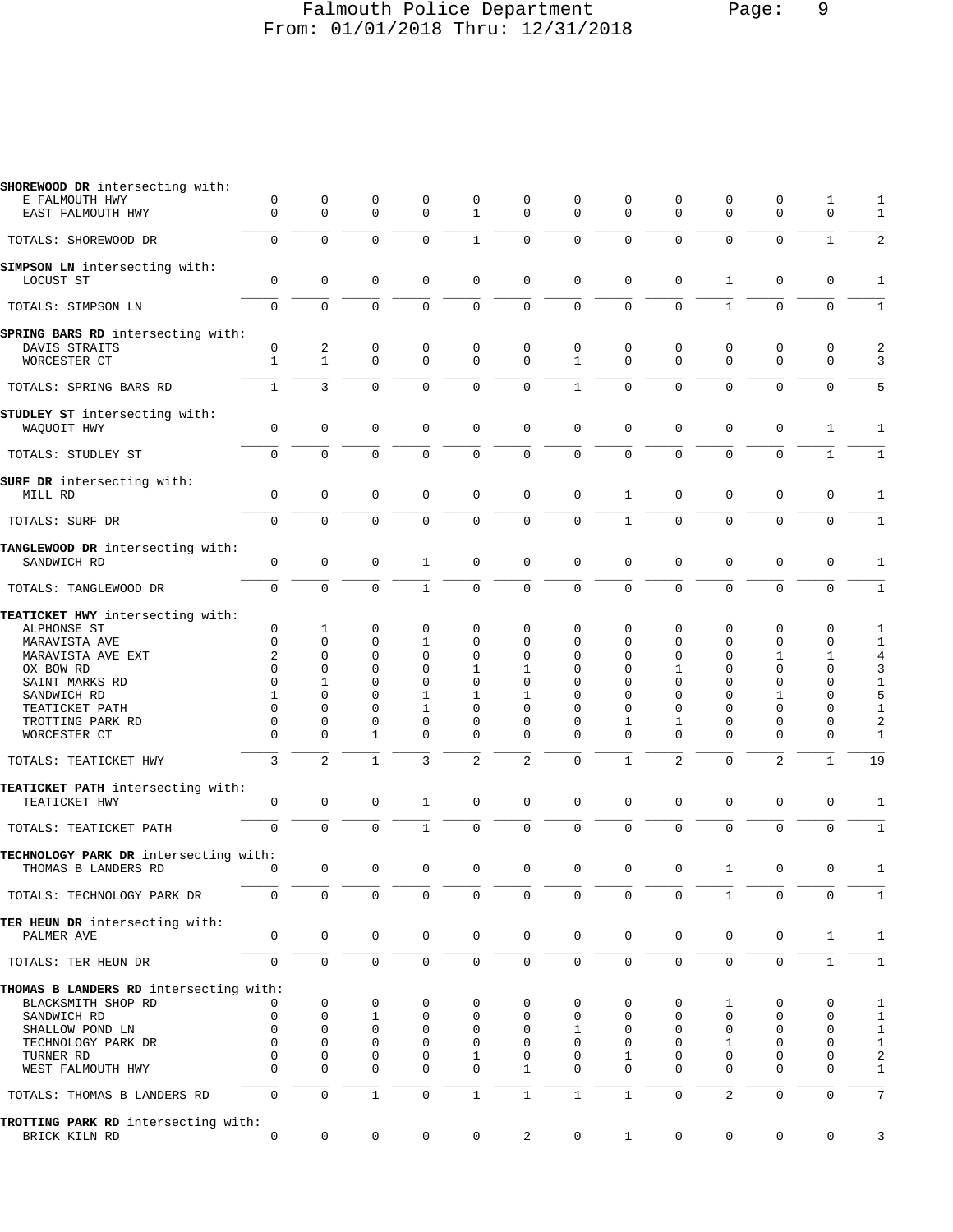## Falmouth Police Department Page: 9 From: 01/01/2018 Thru: 12/31/2018

| SHOREWOOD DR intersecting with:                              |              |                     |              |              |                |                     |                |              |                |                |                     |              |                |
|--------------------------------------------------------------|--------------|---------------------|--------------|--------------|----------------|---------------------|----------------|--------------|----------------|----------------|---------------------|--------------|----------------|
| E FALMOUTH HWY                                               | 0            | $\mathbf 0$         | 0            | 0            | 0              | 0                   | 0              | $\mathbf 0$  | 0              | 0              | $\mathbf 0$         | 1            | 1              |
| EAST FALMOUTH HWY                                            | $\Omega$     | $\mathbf 0$         | $\mathbf 0$  | $\mathbf 0$  | $\mathbf{1}$   | $\mathbf 0$         | $\Omega$       | $\Omega$     | $\Omega$       | $\Omega$       | $\Omega$            | $\mathbf 0$  | 1              |
| TOTALS: SHOREWOOD DR                                         | $\mathbf 0$  | $\mathbf 0$         | $\mathbf 0$  | $\mathbf 0$  | $\mathbf{1}$   | $\mathbf 0$         | $\mathbf 0$    | $\mathbf 0$  | $\mathbf 0$    | 0              | $\mathbf 0$         | $\mathbf{1}$ | $\overline{2}$ |
| SIMPSON LN intersecting with:                                |              |                     |              |              |                |                     |                |              |                |                |                     |              |                |
| LOCUST ST                                                    | 0            | 0                   | 0            | 0            | 0              | 0                   | $\mathbf 0$    | $\mathbf 0$  | 0              | 1              | $\mathbf 0$         | 0            | 1              |
| TOTALS: SIMPSON LN                                           | $\mathbf 0$  | $\Omega$            | $\Omega$     | $\Omega$     | $\mathbf{0}$   | $\mathbf 0$         | $\overline{0}$ | $\Omega$     | $\Omega$       | $\mathbf{1}$   | $\Omega$            | $\mathbf 0$  | $\mathbf{1}$   |
|                                                              |              |                     |              |              |                |                     |                |              |                |                |                     |              |                |
| SPRING BARS RD intersecting with:                            | 0            | 2                   | 0            | 0            | $\mathbf 0$    | $\mathbf 0$         | 0              | $\mathbf 0$  | 0              | 0              | $\mathbf 0$         | 0            | 2              |
| DAVIS STRAITS<br>WORCESTER CT                                | $\mathbf{1}$ | $\mathbf{1}$        | $\mathbf 0$  | $\Omega$     | $\mathbf 0$    | $\mathbf 0$         | $\mathbf{1}$   | $\Omega$     | $\Omega$       | $\Omega$       | $\Omega$            | $\Omega$     | 3              |
|                                                              |              |                     |              |              |                |                     |                |              |                |                |                     |              |                |
| TOTALS: SPRING BARS RD                                       | $\mathbf{1}$ | 3                   | $\mathbf 0$  | $\Omega$     | $\mathbf 0$    | $\mathbf 0$         | $\mathbf{1}$   | $\Omega$     | $\mathbf 0$    | $\Omega$       | $\Omega$            | $\Omega$     | 5              |
| STUDLEY ST intersecting with:                                |              |                     |              |              |                |                     |                |              |                |                |                     |              |                |
| WAQUOIT HWY                                                  | $\mathbf 0$  | $\mathbf{0}$        | $\mathbf 0$  | 0            | $\mathbf{0}$   | $\mathbf 0$         | $\mathbf 0$    | $\mathbf 0$  | 0              | $\mathbf 0$    | $\mathbf{0}$        | 1            | 1              |
| TOTALS: STUDLEY ST                                           | $\mathbf 0$  | $\Omega$            | $\mathbf 0$  | $\Omega$     | $\mathbf 0$    | $\mathbf 0$         | $\mathbf 0$    | $\Omega$     | $\Omega$       | $\Omega$       | $\mathbf 0$         | $\mathbf{1}$ | $\mathbf{1}$   |
|                                                              |              |                     |              |              |                |                     |                |              |                |                |                     |              |                |
| SURF DR intersecting with:<br>MILL RD                        | $\mathbf 0$  | $\mathbf 0$         | $\mathbf 0$  | 0            | 0              | 0                   | $\mathsf 0$    | 1            | 0              | $\mathbf 0$    | $\mathbf{0}$        | $\mathbf 0$  | 1              |
|                                                              |              |                     |              |              |                |                     |                |              |                |                |                     |              |                |
| TOTALS: SURF DR                                              | $\mathbf 0$  | $\mathbf 0$         | $\mathbf 0$  | $\mathbf 0$  | $\mathbf 0$    | $\mathbf 0$         | $\mathbf 0$    | $\mathbf{1}$ | $\mathbf 0$    | $\mathbf 0$    | $\mathbf{0}$        | $\mathbf 0$  | $\mathbf{1}$   |
| TANGLEWOOD DR intersecting with:                             |              |                     |              |              |                |                     |                |              |                |                |                     |              |                |
| SANDWICH RD                                                  | $\mathsf 0$  | $\mathbf 0$         | 0            | $\mathbf{1}$ | $\mathsf 0$    | 0                   | $\mathsf 0$    | $\mathbf 0$  | $\mathbf 0$    | $\mathbf 0$    | $\mathbf 0$         | 0            | 1              |
| TOTALS: TANGLEWOOD DR                                        | $\mathbf 0$  | $\Omega$            | $\mathbf 0$  | $\mathbf{1}$ | $\mathbf 0$    | $\mathbf 0$         | $\overline{0}$ | $\Omega$     | 0              | $\mathbf 0$    | $\mathbf 0$         | $\Omega$     | $\mathbf{1}$   |
|                                                              |              |                     |              |              |                |                     |                |              |                |                |                     |              |                |
| TEATICKET HWY intersecting with:<br>ALPHONSE ST              | 0            | 1                   | 0            | 0            | 0              | 0                   | 0              | 0            | 0              | 0              | 0                   | 0            | 1              |
| MARAVISTA AVE                                                | $\mathbf 0$  | 0                   | 0            | 1            | 0              | 0                   | 0              | 0            | $\Omega$       | 0              | 0                   | 0            | 1              |
| MARAVISTA AVE EXT                                            | 2            | 0                   | $\mathbf 0$  | $\Omega$     | $\mathbf{0}$   | $\Omega$            | $\mathbf 0$    | $\Omega$     | $\Omega$       | $\Omega$       | 1                   | 1            | 4              |
| OX BOW RD                                                    | $\Omega$     | 0                   | 0            | 0            | 1              | 1                   | 0              | 0            | 1              | 0              | 0                   | 0            | 3              |
| SAINT MARKS RD                                               | $\Omega$     | 1                   | $\Omega$     | $\Omega$     | $\Omega$       | 0                   | $\Omega$       | $\Omega$     | $\Omega$       | $\Omega$       | $\Omega$            | $\Omega$     | $1\,$          |
| SANDWICH RD                                                  | $\mathbf{1}$ | $\Omega$            | $\Omega$     | $\mathbf{1}$ | $\mathbf{1}$   | 1                   | $\Omega$       | $\Omega$     | $\Omega$       | $\Omega$       | $\mathbf{1}$        | $\Omega$     | 5              |
| TEATICKET PATH                                               | 0            | 0                   | 0            | 1            | 0              | 0                   | 0              | 0            | $\Omega$       | $\Omega$       | 0                   | 0            | $1\,$          |
| TROTTING PARK RD                                             | 0            | 0                   | 0            | 0            | 0              | 0                   | 0              | 1            | 1              | 0              | 0                   | 0            | $\sqrt{2}$     |
| WORCESTER CT                                                 | $\Omega$     | $\Omega$            | $\mathbf{1}$ | $\Omega$     | $\Omega$       | $\mathbf 0$         | $\Omega$       | $\Omega$     | $\Omega$       | $\Omega$       | $\Omega$            | $\Omega$     | $\mathbf{1}$   |
| TOTALS: TEATICKET HWY                                        | 3            | $\overline{2}$      | $\mathbf{1}$ | 3            | $\overline{a}$ | $\overline{c}$      | $\overline{0}$ | $\mathbf{1}$ | $\overline{2}$ | $\Omega$       | $\overline{2}$      | $\mathbf{1}$ | 19             |
|                                                              |              |                     |              |              |                |                     |                |              |                |                |                     |              |                |
| TEATICKET PATH intersecting with:                            |              |                     |              |              |                |                     |                |              |                |                |                     |              |                |
| TEATICKET HWY                                                | $\mathbf 0$  | $\mathbf{0}$        | $\mathbf 0$  | $\mathbf{1}$ | $\mathbf{0}$   | 0                   | $\mathbf 0$    | $\mathbf{0}$ | $\mathbf 0$    | $\mathbf 0$    | $\mathbf{0}$        | $\mathbf 0$  | 1              |
| TOTALS: TEATICKET PATH                                       | $\mathbf 0$  | $\mathbf 0$         | $\mathbf{0}$ | $\mathbf{1}$ | $\mathbf 0$    | $\mathbf 0$         | $\mathbf 0$    | $\Omega$     | $\mathbf 0$    | $\Omega$       | $\mathbf 0$         | $\mathbf 0$  | $\mathbf{1}$   |
|                                                              |              |                     |              |              |                |                     |                |              |                |                |                     |              |                |
| TECHNOLOGY PARK DR intersecting with:<br>THOMAS B LANDERS RD | 0            | $\mathsf 0$         | 0            | $\mathsf 0$  | $\mathsf 0$    | 0                   | $\mathsf 0$    | $\mathsf 0$  | 0              | 1              | $\mathsf 0$         | $\mathsf 0$  | 1              |
|                                                              |              |                     |              |              |                |                     |                |              |                |                |                     |              |                |
| TOTALS: TECHNOLOGY PARK DR                                   | $\mathbf 0$  | $\mathbf 0$         | $\mathbf 0$  | $\mathbf 0$  | $\mathbf 0$    | $\mathbf 0$         | $\mathbf 0$    | $\mathbf 0$  | $\mathbf 0$    | $\mathbf{1}$   | $\mathbf{0}$        | $\mathbf 0$  | $\mathbf{1}$   |
| TER HEUN DR intersecting with:                               |              |                     |              |              |                |                     |                |              |                |                |                     |              |                |
| PALMER AVE                                                   | 0            | $\mathsf{O}\xspace$ | $\mathbf 0$  | 0            | $\mathsf{0}$   | $\mathsf{O}\xspace$ | $\mathbf 0$    | $\mathbf 0$  | 0              | 0              | $\mathsf 0$         | $\mathbf{1}$ | 1              |
|                                                              |              |                     |              |              |                |                     |                |              |                |                |                     |              |                |
| TOTALS: TER HEUN DR                                          | 0            | $\mathbf 0$         | $\mathsf 0$  | 0            | 0              | 0                   | 0              | $\mathsf{O}$ | 0              | 0              | $\mathsf{O}\xspace$ | $\mathbf{1}$ | $\mathbf{1}$   |
| THOMAS B LANDERS RD intersecting with:                       |              |                     |              |              |                |                     |                |              |                |                |                     |              |                |
| BLACKSMITH SHOP RD                                           |              | 0                   | 0            | 0            | 0              | 0                   | 0              | 0            | 0              | 1              | 0                   | 0            | $\mathbf{1}$   |
| SANDWICH RD                                                  | 0            | $\mathbf 0$         | 1            | 0            | 0              | 0                   | 0              | 0            | 0              | 0              | 0                   | 0            | $1\,$          |
| SHALLOW POND LN                                              | $\mathbf 0$  | $\mathbf 0$         | $\mathbf 0$  | 0            | 0              | 0                   | 1              | 0            | 0              | 0              | 0                   | 0            | $\mathbf{1}$   |
| TECHNOLOGY PARK DR                                           | $\mathbf 0$  | $\mathbf 0$         | 0            | 0            | 0              | 0                   | 0              | $\mathbf 0$  | 0              | 1              | $\mathbf 0$         | 0            | $\mathbf{1}$   |
| TURNER RD                                                    | 0            | 0                   | 0            | 0            | 1              | 0                   | 0              | 1            | 0              | 0              | 0                   | 0            | 2              |
| WEST FALMOUTH HWY                                            | $\Omega$     | 0                   | $\mathbf 0$  | 0            | $\mathbf{0}$   | 1                   | 0              | $\Omega$     | $\Omega$       | 0              | $\mathbf 0$         | 0            | 1              |
| TOTALS: THOMAS B LANDERS RD                                  | 0            | $\mathbf 0$         | $1\,$        | 0            | $\mathbf{1}$   | $\mathbf{1}$        | $\mathbf{1}$   | $\mathbf{1}$ | 0              | $\overline{2}$ | $\mathsf 0$         | 0            | 7              |
|                                                              |              |                     |              |              |                |                     |                |              |                |                |                     |              |                |
| TROTTING PARK RD intersecting with:                          | 0            | 0                   | 0            |              |                | $\overline{c}$      | 0              |              |                | 0              | 0                   | 0            |                |
| BRICK KILN RD                                                |              |                     |              | 0            | 0              |                     |                | $\mathbf{1}$ | 0              |                |                     |              | 3              |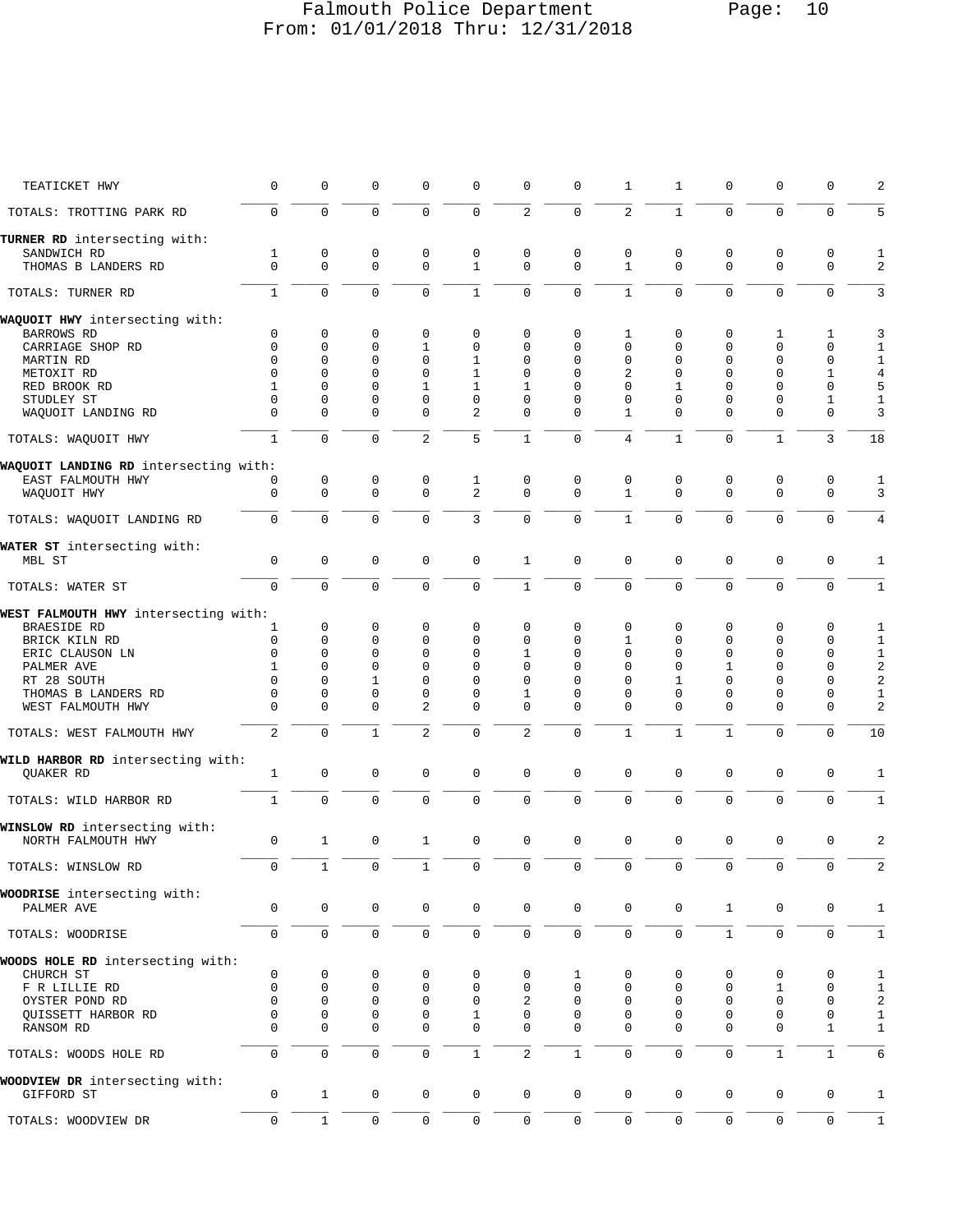# Falmouth Police Department Page: 10 From: 01/01/2018 Thru: 12/31/2018

| TEATICKET HWY                                 | 0             | 0                        | 0                          | 0                          | $\mathbf 0$                 | 0                          | 0                          | 1                           | 1                        | $\mathbf 0$             | $\mathbf 0$             | 0                          | 2                |
|-----------------------------------------------|---------------|--------------------------|----------------------------|----------------------------|-----------------------------|----------------------------|----------------------------|-----------------------------|--------------------------|-------------------------|-------------------------|----------------------------|------------------|
| TOTALS: TROTTING PARK RD                      | $\Omega$      | $\mathbf 0$              | $\Omega$                   | $\mathbf 0$                | $\Omega$                    | $\overline{a}$             | $\mathbf 0$                | 2                           | $\mathbf{1}$             | $\Omega$                | $\Omega$                | $\Omega$                   | 5                |
| TURNER RD intersecting with:                  |               |                          |                            |                            |                             |                            |                            |                             |                          |                         |                         |                            |                  |
| SANDWICH RD<br>THOMAS B LANDERS RD            | 1<br>$\Omega$ | $\mathbf{0}$<br>$\Omega$ | $\mathbf 0$<br>$\mathbf 0$ | $\mathbf 0$<br>$\mathbf 0$ | $\mathbf 0$<br>$\mathbf{1}$ | $\mathbf 0$<br>$\mathbf 0$ | $\mathbf 0$<br>$\mathbf 0$ | $\mathbf 0$<br>$\mathbf{1}$ | $\mathbf 0$<br>$\Omega$  | $\mathbf 0$<br>$\Omega$ | $\mathbf 0$<br>$\Omega$ | $\mathbf 0$<br>$\mathbf 0$ | 1<br>2           |
| TOTALS: TURNER RD                             | $\mathbf{1}$  | $\mathbf 0$              | $\Omega$                   | $\Omega$                   | $\mathbf{1}$                | $\Omega$                   | $\Omega$                   | $\mathbf{1}$                | $\Omega$                 | $\Omega$                | $\Omega$                | $\Omega$                   | 3                |
| WAQUOIT HWY intersecting with:                |               |                          |                            |                            |                             |                            |                            |                             |                          |                         |                         |                            |                  |
| <b>BARROWS RD</b>                             | $\Omega$      | 0                        | 0                          | 0                          | $\mathbf 0$                 | 0                          | 0                          | 1                           | 0                        | $\mathbf 0$             | 1                       | 1                          | 3                |
| CARRIAGE SHOP RD                              | $\Omega$      | $\Omega$                 | $\Omega$                   | $\mathbf{1}$               | $\mathbf 0$                 | 0                          | $\Omega$                   | $\mathbf 0$                 | $\Omega$                 | $\Omega$                | $\Omega$                | $\mathbf 0$                | $\mathbf{1}$     |
| MARTIN RD                                     | $\Omega$      | 0                        | $\Omega$                   | $\Omega$                   | $\mathbf{1}$                | $\mathbf 0$                | $\Omega$                   | $\mathbf 0$                 | $\Omega$                 | $\Omega$                | $\Omega$                | 0                          | $\mathbf{1}$     |
| METOXIT RD                                    | $\Omega$      | 0                        | $\Omega$                   | $\mathbf 0$                | $\mathbf{1}$                | $\Omega$                   | $\Omega$                   | 2                           | $\Omega$                 | $\Omega$                | $\Omega$                | 1                          | $\sqrt{4}$       |
| RED BROOK RD                                  | 1             | $\Omega$                 | $\Omega$                   | $\mathbf{1}$               | $\mathbf{1}$                | 1                          | $\Omega$                   | $\Omega$                    | 1                        | $\Omega$                | $\Omega$                | $\Omega$                   | 5                |
| STUDLEY ST                                    | 0             | $\mathbf{0}$             | 0                          | $\mathbf 0$                | $\mathbf 0$                 | $\mathbf 0$                | 0                          | $\mathbf 0$                 | $\mathbf 0$              | $\Omega$                | $\mathbf 0$             | 1                          | $1\,$            |
| WAQUOIT LANDING RD                            | $\Omega$      | $\Omega$                 | $\Omega$                   | $\Omega$                   | 2                           | $\Omega$                   | $\Omega$                   | $\mathbf{1}$                | $\Omega$                 | $\Omega$                | $\Omega$                | $\Omega$                   | 3                |
| TOTALS: WAQUOIT HWY                           | $\mathbf{1}$  | $\Omega$                 | $\Omega$                   | $\overline{2}$             | 5                           | $\mathbf{1}$               | $\mathbf 0$                | 4                           | $\mathbf{1}$             | $\Omega$                | $\mathbf{1}$            | 3                          | 18               |
| WAQUOIT LANDING RD intersecting with:         |               |                          |                            |                            |                             |                            |                            |                             |                          |                         |                         |                            |                  |
| EAST FALMOUTH HWY                             | 0             | 0                        | 0                          | 0                          | 1                           | 0                          | $\mathsf 0$                | $\mathbf 0$                 | 0                        | $\mathbf 0$             | $\mathbf 0$             | $\mathbf 0$                | 1                |
| WAQUOIT HWY                                   | $\Omega$      | $\Omega$                 | $\mathbf 0$                | $\mathbf 0$                | $\overline{2}$              | $\Omega$                   | $\mathbf 0$                | $\mathbf{1}$                | $\Omega$                 | $\Omega$                | $\Omega$                | $\Omega$                   | 3                |
| TOTALS: WAQUOIT LANDING RD                    | $\Omega$      | $\mathbf 0$              | $\mathbf 0$                | $\mathbf 0$                | 3                           | $\Omega$                   | $\mathbf 0$                | $\mathbf{1}$                | $\mathbf 0$              | $\Omega$                | $\mathbf 0$             | $\mathbf 0$                | $\overline{4}$   |
| WATER ST intersecting with:                   |               |                          |                            |                            |                             |                            |                            |                             |                          |                         |                         |                            |                  |
| MBL ST                                        | $\mathbf 0$   | $\mathbf{0}$             | $\mathbf 0$                | $\mathbf 0$                | $\mathbf 0$                 | 1                          | 0                          | $\mathbf 0$                 | $\mathbf 0$              | $\mathbf 0$             | $\mathbf 0$             | $\mathbf 0$                | 1                |
| TOTALS: WATER ST                              | $\Omega$      | $\Omega$                 | $\Omega$                   | $\Omega$                   | $\Omega$                    | $\mathbf{1}$               | $\mathbf 0$                | $\mathbf 0$                 | $\Omega$                 | $\Omega$                | $\Omega$                | $\Omega$                   | $\mathbf{1}$     |
| WEST FALMOUTH HWY intersecting with:          |               |                          |                            |                            |                             |                            |                            |                             |                          |                         |                         |                            |                  |
| <b>BRAESIDE RD</b>                            | 1             | 0                        | 0                          | 0                          | 0                           | 0                          | $\Omega$                   | $\Omega$                    | $\Omega$                 | $\Omega$                | 0                       | $\Omega$                   | 1                |
| BRICK KILN RD                                 | $\mathbf 0$   | $\Omega$                 | $\Omega$                   | $\Omega$                   | 0                           | 0                          | $\Omega$                   | $\mathbf{1}$                | $\mathbf 0$              | $\Omega$                | $\Omega$                | $\mathbf 0$                | $\mathbf{1}$     |
| ERIC CLAUSON LN                               | $\Omega$      | $\Omega$                 | $\Omega$                   | $\mathbf 0$                | $\Omega$                    | $\mathbf{1}$               | $\mathbf 0$                | $\mathbf 0$                 | $\Omega$                 | $\Omega$                | $\Omega$                | 0                          | $\mathbf{1}$     |
| PALMER AVE                                    | 1<br>$\Omega$ | $\Omega$<br>$\Omega$     | $\Omega$<br>$\mathbf{1}$   | $\Omega$<br>$\Omega$       | $\Omega$<br>$\Omega$        | $\mathbf 0$<br>$\Omega$    | $\Omega$<br>$\Omega$       | $\Omega$<br>$\mathbf 0$     | $\Omega$<br>$\mathbf{1}$ | 1<br>$\Omega$           | $\Omega$<br>$\Omega$    | $\Omega$<br>$\Omega$       | $\sqrt{2}$       |
| RT 28 SOUTH<br>THOMAS B LANDERS RD            | $\Omega$      | $\Omega$                 | $\Omega$                   | $\Omega$                   | 0                           | 1                          | $\Omega$                   | 0                           | $\Omega$                 | $\Omega$                | $\Omega$                | $\Omega$                   | 2<br>$1\,$       |
| WEST FALMOUTH HWY                             | $\Omega$      | $\Omega$                 | $\Omega$                   | $\overline{a}$             | $\Omega$                    | $\Omega$                   | $\Omega$                   | $\Omega$                    | $\Omega$                 | $\Omega$                | $\Omega$                | $\Omega$                   | $\overline{2}$   |
| TOTALS: WEST FALMOUTH HWY                     | 2             | $\mathbf 0$              | $\mathbf{1}$               | $\overline{2}$             | 0                           | 2                          | $\mathbf 0$                | $\mathbf{1}$                | $\mathbf{1}$             | 1                       | $\Omega$                | $\Omega$                   | 10               |
| WILD HARBOR RD intersecting with:             |               |                          |                            |                            |                             |                            |                            |                             |                          |                         |                         |                            |                  |
| QUAKER RD                                     | 1             | $\mathbf{0}$             | $\Omega$                   | $\mathbf 0$                | $\mathbf 0$                 | $\mathbf 0$                | $\mathbf 0$                | $\mathbf 0$                 | $\mathbf 0$              | $\Omega$                | $\Omega$                | $\mathbf 0$                | 1                |
| TOTALS: WILD HARBOR RD                        | $\mathbf{1}$  | $\Omega$                 | $\Omega$                   | $\mathbf 0$                | $\Omega$                    | $\Omega$                   | $\mathbf 0$                | $\mathbf 0$                 | $\mathbf 0$              | $\mathbf 0$             | $\Omega$                | $\Omega$                   | $\mathbf{1}$     |
| WINSLOW RD intersecting with:                 |               |                          |                            |                            |                             |                            |                            |                             |                          |                         |                         |                            |                  |
| NORTH FALMOUTH HWY                            | $\mathbf 0$   | $\mathbf{1}$             | $\mathbf 0$                | $\mathbf{1}$               | $\mathbf 0$                 | $\mathbf 0$                | $\mathsf 0$                | $\mathbf 0$                 | $\mathbf 0$              | $\mathbf 0$             | $\mathbf 0$             | $\mathbf 0$                | 2                |
| TOTALS: WINSLOW RD                            | $\cup$        | ı                        | $\cup$                     | ı                          | $\cup$                      | $\cup$                     | $\cup$                     | $\cup$                      | $\cup$                   | $\cup$                  | 0                       | 0                          | 2                |
| WOODRISE intersecting with:<br>PALMER AVE     | $\mathbf 0$   | $\mathsf 0$              | 0                          | $\mathbf 0$                | 0                           | 0                          | 0                          | $\mathbf 0$                 | 0                        | $\mathbf{1}$            | 0                       | $\mathbf 0$                | $\mathbf{1}$     |
|                                               |               |                          |                            |                            |                             |                            |                            |                             |                          |                         |                         |                            |                  |
| TOTALS: WOODRISE                              | 0             | $\mathbf 0$              | $\mathbf 0$                | $\mathsf 0$                | $\mathsf{O}\xspace$         | 0                          | $\mathsf{O}\xspace$        | $\mathsf 0$                 | $\mathbf 0$              | $\mathbf{1}$            | $\mathbf 0$             | $\mathbf 0$                | $\mathbf{1}$     |
| WOODS HOLE RD intersecting with:<br>CHURCH ST | $\mathbf 0$   | 0                        | 0                          | 0                          | 0                           | 0                          | 1                          | 0                           | 0                        | 0                       | 0                       | 0                          | 1                |
| F R LILLIE RD                                 | $\mathbf 0$   | $\mathbf 0$              | 0                          | $\mathbf 0$                | $\mathbf 0$                 | $\mathbf 0$                | $\mathbf 0$                | $\mathbf 0$                 | $\mathbf 0$              | $\mathbf 0$             | 1                       | 0                          | $\mathbf{1}$     |
| OYSTER POND RD                                | $\Omega$      | $\mathbf 0$              | 0                          | 0                          | $\mathbf 0$                 | 2                          | $\mathbf 0$                | 0                           | 0                        | $\mathbf 0$             | 0                       | $\Omega$                   | $\boldsymbol{2}$ |
| QUISSETT HARBOR RD                            | 0             | $\mathbf{0}$             | 0                          | $\mathbf 0$                | 1                           | $\mathsf 0$                | 0                          | 0                           | $\mathbf 0$              | $\mathbf 0$             | $\mathbf 0$             | 0                          | $\mathbf 1$      |
| RANSOM RD                                     | $\Omega$      | $\Omega$                 | $\Omega$                   | $\Omega$                   | $\mathbf 0$                 | $\mathbf 0$                | $\mathbf 0$                | $\mathbf 0$                 | $\Omega$                 | $\Omega$                | $\Omega$                | $\mathbf{1}$               | $\mathbf{1}$     |
| TOTALS: WOODS HOLE RD                         | $\mathbf 0$   | $\mathsf 0$              | $\mathbf 0$                | $\mathsf 0$                | $\mathbf{1}$                | $\overline{c}$             | $\mathbf 1$                | $\mathsf 0$                 | $\mathsf 0$              | $\mathbf 0$             | $\mathbf{1}$            | $\mathbf{1}$               | 6                |
| WOODVIEW DR intersecting with:                |               |                          |                            |                            |                             |                            |                            |                             |                          |                         |                         |                            |                  |
| GIFFORD ST                                    | 0             | $\mathbf{1}$             | 0                          | $\mathbf 0$                | $\mathbf 0$                 | $\mathbf 0$                | $\mathsf{O}\xspace$        | $\mathbf 0$                 | $\mathbf 0$              | 0                       | 0                       | $\mathbf 0$                | $\mathbf{1}$     |
| TOTALS: WOODVIEW DR                           | 0             | $\mathbf{1}$             | $\mathsf{O}\xspace$        | $\mathsf 0$                | $\mathbf 0$                 | $\mathsf 0$                | $\mathsf 0$                | $\mathbf 0$                 | $\mathbf 0$              | $\mathbf 0$             | $\mathbf{0}$            | $\mathbf 0$                | $\mathbf{1}$     |